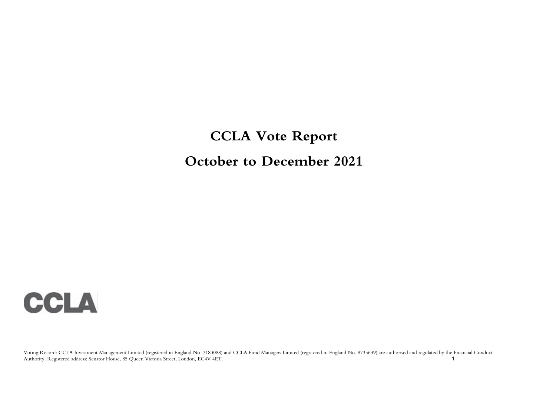# **CCLA Vote Report October to December 2021**

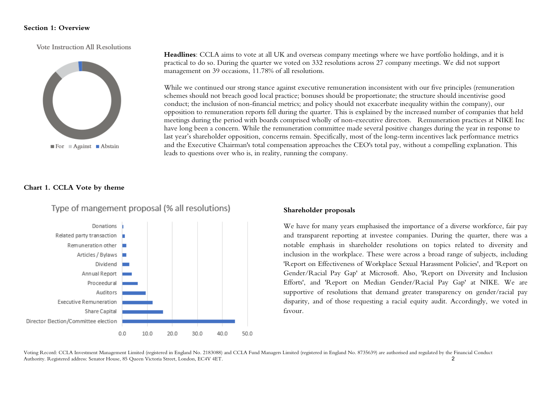#### **Section 1: Overview**

Vote Instruction All Resolutions



**Headlines**: CCLA aims to vote at all UK and overseas company meetings where we have portfolio holdings, and it is practical to do so. During the quarter we voted on 332 resolutions across 27 company meetings. We did not support management on 39 occasions, 11.78% of all resolutions.

**Shareholder proposals**

While we continued our strong stance against executive remuneration inconsistent with our five principles (remuneration schemes should not breach good local practice; bonuses should be proportionate; the structure should incentivise good conduct; the inclusion of non-financial metrics; and policy should not exacerbate inequality within the company), our opposition to remuneration reports fell during the quarter. This is explained by the increased number of companies that held meetings during the period with boards comprised wholly of non-executive directors. Remuneration practices at NIKE Inc have long been a concern. While the remuneration committee made several positive changes during the year in response to last year's shareholder opposition, concerns remain. Specifically, most of the long-term incentives lack performance metrics and the Executive Chairman's total compensation approaches the CEO's total pay, without a compelling explanation. This leads to questions over who is, in reality, running the company.

#### **Chart 1. CCLA Vote by theme**



# Type of mangement proposal (% all resolutions)

We have for many years emphasised the importance of a diverse workforce, fair pay and transparent reporting at investee companies. During the quarter, there was a notable emphasis in shareholder resolutions on topics related to diversity and inclusion in the workplace. These were across a broad range of subjects, including 'Report on Effectiveness of Workplace Sexual Harassment Policies', and 'Report on Gender/Racial Pay Gap' at Microsoft. Also, 'Report on Diversity and Inclusion Efforts', and 'Report on Median Gender/Racial Pay Gap' at NIKE. We are supportive of resolutions that demand greater transparency on gender/racial pay disparity, and of those requesting a racial equity audit. Accordingly, we voted in favour.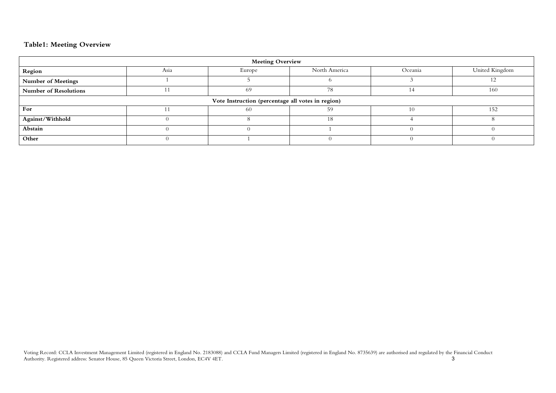### **Table1: Meeting Overview**

| <b>Meeting Overview</b>                           |      |        |               |         |                |  |  |  |  |  |  |
|---------------------------------------------------|------|--------|---------------|---------|----------------|--|--|--|--|--|--|
| Region                                            | Asia | Europe | North America | Oceania | United Kingdom |  |  |  |  |  |  |
| <b>Number of Meetings</b>                         |      |        |               |         |                |  |  |  |  |  |  |
| <b>Number of Resolutions</b>                      |      | -69    | 78            |         | 160            |  |  |  |  |  |  |
| Vote Instruction (percentage all votes in region) |      |        |               |         |                |  |  |  |  |  |  |
| For                                               |      | 60     | 59            |         | 152            |  |  |  |  |  |  |
| Against/Withhold                                  |      |        | ١X            |         |                |  |  |  |  |  |  |
| Abstain                                           |      |        |               |         |                |  |  |  |  |  |  |
| Other                                             |      |        |               |         |                |  |  |  |  |  |  |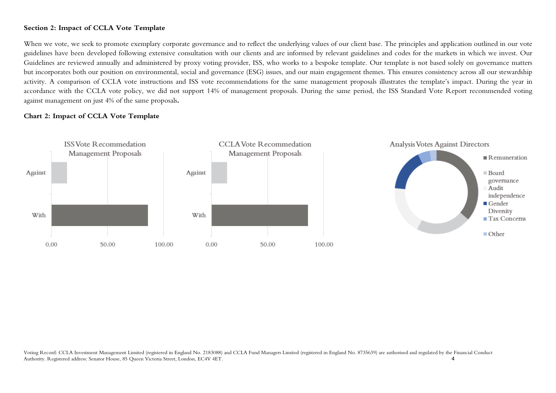### **Section 2: Impact of CCLA Vote Template**

When we vote, we seek to promote exemplary corporate governance and to reflect the underlying values of our client base. The principles and application outlined in our vote guidelines have been developed following extensive consultation with our clients and are informed by relevant guidelines and codes for the markets in which we invest. Our Guidelines are reviewed annually and administered by proxy voting provider, ISS, who works to a bespoke template. Our template is not based solely on governance matters but incorporates both our position on environmental, social and governance (ESG) issues, and our main engagement themes. This ensures consistency across all our stewardship activity. A comparison of CCLA vote instructions and ISS vote recommendations for the same management proposals illustrates the template's impact. During the year in accordance with the CCLA vote policy, we did not support 14% of management proposals. During the same period, the ISS Standard Vote Report recommended voting against management on just 4% of the same proposals**.**

#### **Chart 2: Impact of CCLA Vote Template**

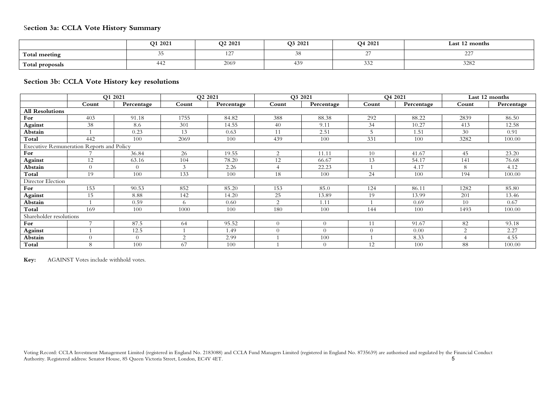|                 | Q1 2021 | O <sub>2</sub> 2021 | O3 2021 | O <sub>4</sub> 2021 | Last 12 months             |
|-----------------|---------|---------------------|---------|---------------------|----------------------------|
| Total meeting   | ◡       | $\frac{1}{2}$       | ◡◡      |                     | $\sim$ $\sim$ $\sim$<br>-- |
| Total proposals | 442     | 2069                | 439     | 33'<br>ے ت          | 3282                       |

### **Section 3b: CCLA Vote History key resolutions**

|                         |                                                  | O1 2021    |               | O <sub>2</sub> 2021 |                | O3 2021        |          | O4 2021    |                | Last 12 months |
|-------------------------|--------------------------------------------------|------------|---------------|---------------------|----------------|----------------|----------|------------|----------------|----------------|
|                         | Count                                            | Percentage | Count         | Percentage          | Count          | Percentage     | Count    | Percentage | Count          | Percentage     |
| <b>All Resolutions</b>  |                                                  |            |               |                     |                |                |          |            |                |                |
| For                     | 403                                              | 91.18      | 1755          | 84.82               | 388            | 88.38          | 292      | 88.22      | 2839           | 86.50          |
| Against                 | 38                                               | 8.6        | 301           | 14.55               | 40             | 9.11           | 34       | 10.27      | 413            | 12.58          |
| Abstain                 |                                                  | 0.23       | 13            | 0.63                | 11             | 2.51           | 5        | 1.51       | 30             | 0.91           |
| Total                   | 442                                              | 100        | 2069          | 100                 | 439            | 100            | 331      | 100        | 3282           | 100.00         |
|                         | <b>Executive Remuneration Reports and Policy</b> |            |               |                     |                |                |          |            |                |                |
| For                     |                                                  | 36.84      | 26            | 19.55               | $\overline{2}$ | 11.11          | 10       | 41.67      | 45             | 23.20          |
| <b>Against</b>          | 12                                               | 63.16      | 104           | 78.20               | 12             | 66.67          | 13       | 54.17      | 141            | 76.68          |
| Abstain                 | $\overline{0}$                                   | $\Omega$   | $\mathcal{Z}$ | 2.26                |                | 22.23          |          | 4.17       | 8              | 4.12           |
| Total                   | 19                                               | 100        | 133           | 100                 | 18             | 100            | 24       | 100        | 194            | 100.00         |
| Director Election       |                                                  |            |               |                     |                |                |          |            |                |                |
| For                     | 153                                              | 90.53      | 852           | 85.20               | 153            | 85.0           | 124      | 86.11      | 1282           | 85.80          |
| Against                 | 15                                               | 8.88       | 142           | 14.20               | 25             | 13.89          | 19       | 13.99      | 201            | 13.46          |
| Abstain                 |                                                  | 0.59       | 6.            | 0.60                | $\Omega$       | 1.11           |          | 0.69       | 10             | 0.67           |
| Total                   | 169                                              | 100        | 1000          | 100                 | 180            | 100            | 144      | 100        | 1493           | 100.00         |
| Shareholder resolutions |                                                  |            |               |                     |                |                |          |            |                |                |
| For                     | $\overline{ }$                                   | 87.5       | -64           | 95.52               | $\Omega$       | $\theta$       |          | 91.67      | 82             | 93.18          |
| <b>Against</b>          |                                                  | 12.5       |               | 1.49                | $\cap$         | $\Omega$       | $\Omega$ | 0.00       | $\overline{2}$ | 2.27           |
| Abstain                 | $\Omega$                                         | $\Omega$   | $\Omega$      | 2.99                |                | 100            |          | 8.33       |                | 4.55           |
| Total                   | 8                                                | 100        | 67            | 100                 |                | $\overline{0}$ | 12       | 100        | 88             | 100.00         |

**Key:** AGAINST Votes include withhold votes.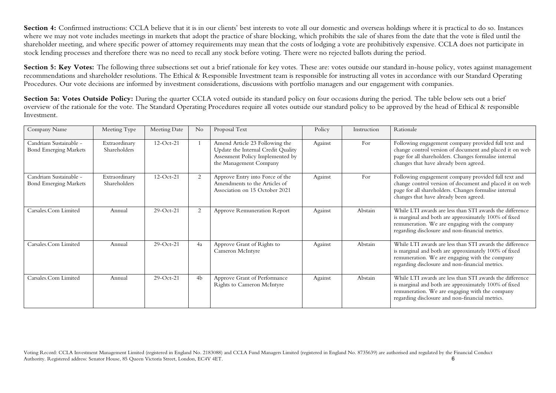**Section 4:** Confirmed instructions: CCLA believe that it is in our clients' best interests to vote all our domestic and overseas holdings where it is practical to do so. Instances where we may not vote includes meetings in markets that adopt the practice of share blocking, which prohibits the sale of shares from the date that the vote is filed until the shareholder meeting, and where specific power of attorney requirements may mean that the costs of lodging a vote are prohibitively expensive. CCLA does not participate in stock lending processes and therefore there was no need to recall any stock before voting. There were no rejected ballots during the period.

Section 5: Key Votes: The following three subsections set out a brief rationale for key votes. These are: votes outside our standard in-house policy, votes against management recommendations and shareholder resolutions. The Ethical & Responsible Investment team is responsible for instructing all votes in accordance with our Standard Operating Procedures. Our vote decisions are informed by investment considerations, discussions with portfolio managers and our engagement with companies.

Section 5a: Votes Outside Policy: During the quarter CCLA voted outside its standard policy on four occasions during the period. The table below sets out a brief overview of the rationale for the vote. The Standard Operating Procedures require all votes outside our standard policy to be approved by the head of Ethical & responsible Investment.

| Company Name                                           | Meeting Type                  | Meeting Date | No | Proposal Text                                                                                                                      | Policy  | Instruction | Rationale                                                                                                                                                                                                             |
|--------------------------------------------------------|-------------------------------|--------------|----|------------------------------------------------------------------------------------------------------------------------------------|---------|-------------|-----------------------------------------------------------------------------------------------------------------------------------------------------------------------------------------------------------------------|
| Candriam Sustainable -<br><b>Bond Emerging Markets</b> | Extraordinary<br>Shareholders | $12-Oct-21$  |    | Amend Article 23 Following the<br>Update the Internal Credit Quality<br>Assessment Policy Implemented by<br>the Management Company | Against | For         | Following engagement company provided full text and<br>change control version of document and placed it on web<br>page for all shareholders. Changes formalise internal<br>changes that have already been agreed.     |
| Candriam Sustainable -<br><b>Bond Emerging Markets</b> | Extraordinary<br>Shareholders | $12-Oct-21$  | 2  | Approve Entry into Force of the<br>Amendments to the Articles of<br>Association on 15 October 2021                                 | Against | For         | Following engagement company provided full text and<br>change control version of document and placed it on web<br>page for all shareholders. Changes formalise internal<br>changes that have already been agreed.     |
| Carsales.Com Limited                                   | Annual                        | $29$ -Oct-21 | 2  | Approve Remuneration Report                                                                                                        | Against | Abstain     | While LTI awards are less than STI awards the difference<br>is marginal and both are approximately 100% of fixed<br>remuneration. We are engaging with the company<br>regarding disclosure and non-financial metrics. |
| Carsales.Com Limited                                   | Annual                        | $29$ -Oct-21 | 4a | Approve Grant of Rights to<br>Cameron McIntyre                                                                                     | Against | Abstain     | While LTI awards are less than STI awards the difference<br>is marginal and both are approximately 100% of fixed<br>remuneration. We are engaging with the company<br>regarding disclosure and non-financial metrics. |
| Carsales.Com Limited                                   | Annual                        | $29$ -Oct-21 | 4b | Approve Grant of Performance<br><b>Rights to Cameron McIntyre</b>                                                                  | Against | Abstain     | While LTI awards are less than STI awards the difference<br>is marginal and both are approximately 100% of fixed<br>remuneration. We are engaging with the company<br>regarding disclosure and non-financial metrics. |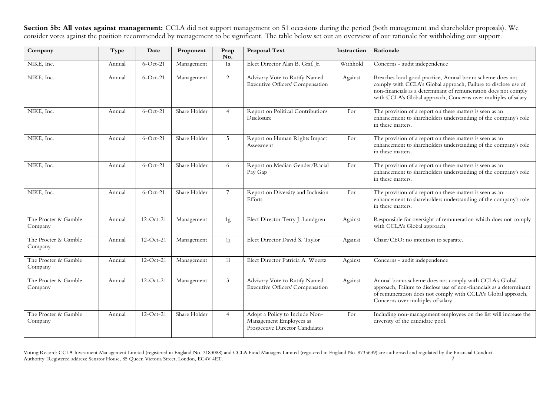**Section 5b: All votes against management:** CCLA did not support management on 51 occasions during the period (both management and shareholder proposals). We consider votes against the position recommended by management to be significant. The table below set out an overview of our rationale for withholding our support.

| Company                         | Type   | Date        | Proponent    | Prop<br>No.    | Proposal Text                                                                                | Instruction | Rationale                                                                                                                                                                                                                                                         |
|---------------------------------|--------|-------------|--------------|----------------|----------------------------------------------------------------------------------------------|-------------|-------------------------------------------------------------------------------------------------------------------------------------------------------------------------------------------------------------------------------------------------------------------|
| NIKE, Inc.                      | Annual | $6$ -Oct-21 | Management   | 1a             | Elect Director Alan B. Graf, Jr.                                                             | Withhold    | Concerns - audit independence                                                                                                                                                                                                                                     |
| NIKE, Inc.                      | Annual | $6$ -Oct-21 | Management   | 2              | Advisory Vote to Ratify Named<br>Executive Officers' Compensation                            | Against     | Breaches local good practice, Annual bonus scheme does not<br>comply with CCLA's Global approach, Failure to disclose use of<br>non-financials as a determinant of remuneration does not comply<br>with CCLA's Global approach, Concerns over multiples of salary |
| NIKE, Inc.                      | Annual | $6$ -Oct-21 | Share Holder | $\overline{4}$ | Report on Political Contributions<br>Disclosure                                              | For         | The provision of a report on these matters is seen as an<br>enhancement to shareholders understanding of the company's role<br>in these matters.                                                                                                                  |
| NIKE, Inc.                      | Annual | $6$ -Oct-21 | Share Holder | 5              | Report on Human Rights Impact<br>Assessment                                                  | For         | The provision of a report on these matters is seen as an<br>enhancement to shareholders understanding of the company's role<br>in these matters.                                                                                                                  |
| NIKE, Inc.                      | Annual | $6$ -Oct-21 | Share Holder | 6              | Report on Median Gender/Racial<br>Pay Gap                                                    | For         | The provision of a report on these matters is seen as an<br>enhancement to shareholders understanding of the company's role<br>in these matters.                                                                                                                  |
| NIKE, Inc.                      | Annual | $6$ -Oct-21 | Share Holder | $\overline{7}$ | Report on Diversity and Inclusion<br>Efforts                                                 | For         | The provision of a report on these matters is seen as an<br>enhancement to shareholders understanding of the company's role<br>in these matters.                                                                                                                  |
| The Procter & Gamble<br>Company | Annual | $12-Oct-21$ | Management   | 1g             | Elect Director Terry J. Lundgren                                                             | Against     | Responsible for oversight of remuneration which does not comply<br>with CCLA's Global approach                                                                                                                                                                    |
| The Procter & Gamble<br>Company | Annual | $12-Oct-21$ | Management   | 1j             | Elect Director David S. Taylor                                                               | Against     | Chair/CEO: no intention to separate.                                                                                                                                                                                                                              |
| The Procter & Gamble<br>Company | Annual | $12-Oct-21$ | Management   | 11             | Elect Director Patricia A. Woertz                                                            | Against     | Concerns - audit independence                                                                                                                                                                                                                                     |
| The Procter & Gamble<br>Company | Annual | 12-Oct-21   | Management   | $\mathfrak{Z}$ | Advisory Vote to Ratify Named<br>Executive Officers' Compensation                            | Against     | Annual bonus scheme does not comply with CCLA's Global<br>approach, Failure to disclose use of non-financials as a determinant<br>of remuneration does not comply with CCLA's Global approach,<br>Concerns over multiples of salary                               |
| The Procter & Gamble<br>Company | Annual | $12-Oct-21$ | Share Holder | $\overline{4}$ | Adopt a Policy to Include Non-<br>Management Employees as<br>Prospective Director Candidates | For         | Including non-management employees on the list will increase the<br>diversity of the candidate pool.                                                                                                                                                              |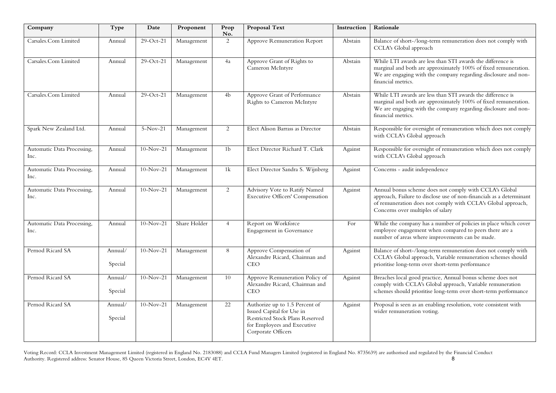| Company                            | Type               | Date        | Proponent    | Prop<br>No.    | <b>Proposal Text</b>                                                                                                                                | Instruction | Rationale                                                                                                                                                                                                                           |
|------------------------------------|--------------------|-------------|--------------|----------------|-----------------------------------------------------------------------------------------------------------------------------------------------------|-------------|-------------------------------------------------------------------------------------------------------------------------------------------------------------------------------------------------------------------------------------|
| Carsales.Com Limited               | Annual             | 29-Oct-21   | Management   | 2              | Approve Remuneration Report                                                                                                                         | Abstain     | Balance of short-/long-term remuneration does not comply with<br>CCLA's Global approach                                                                                                                                             |
| Carsales.Com Limited               | Annual             | $29-Oct-21$ | Management   | 4a             | Approve Grant of Rights to<br>Cameron McIntyre                                                                                                      | Abstain     | While LTI awards are less than STI awards the difference is<br>marginal and both are approximately 100% of fixed remuneration.<br>We are engaging with the company regarding disclosure and non-<br>financial metrics.              |
| Carsales.Com Limited               | Annual             | 29-Oct-21   | Management   | 4b             | Approve Grant of Performance<br>Rights to Cameron McIntyre                                                                                          | Abstain     | While LTI awards are less than STI awards the difference is<br>marginal and both are approximately 100% of fixed remuneration.<br>We are engaging with the company regarding disclosure and non-<br>financial metrics.              |
| Spark New Zealand Ltd.             | Annual             | $5-Nov-21$  | Management   | 2              | Elect Alison Barrass as Director                                                                                                                    | Abstain     | Responsible for oversight of remuneration which does not comply<br>with CCLA's Global approach                                                                                                                                      |
| Automatic Data Processing,<br>Inc. | Annual             | $10-Nov-21$ | Management   | 1 <sub>b</sub> | Elect Director Richard T. Clark                                                                                                                     | Against     | Responsible for oversight of remuneration which does not comply<br>with CCLA's Global approach                                                                                                                                      |
| Automatic Data Processing,<br>Inc. | Annual             | $10-Nov-21$ | Management   | 1k             | Elect Director Sandra S. Wijnberg                                                                                                                   | Against     | Concerns - audit independence                                                                                                                                                                                                       |
| Automatic Data Processing,<br>Inc. | Annual             | $10-Nov-21$ | Management   | 2              | Advisory Vote to Ratify Named<br><b>Executive Officers' Compensation</b>                                                                            | Against     | Annual bonus scheme does not comply with CCLA's Global<br>approach, Failure to disclose use of non-financials as a determinant<br>of remuneration does not comply with CCLA's Global approach,<br>Concerns over multiples of salary |
| Automatic Data Processing,<br>Inc. | Annual             | $10-Nov-21$ | Share Holder | $\overline{4}$ | Report on Workforce<br>Engagement in Governance                                                                                                     | For         | While the company has a number of policies in place which cover<br>employee engagement when compared to peers there are a<br>number of areas where improvements can be made.                                                        |
| Pernod Ricard SA                   | Annual/<br>Special | $10-Nov-21$ | Management   | 8              | Approve Compensation of<br>Alexandre Ricard, Chairman and<br><b>CEO</b>                                                                             | Against     | Balance of short-/long-term remuneration does not comply with<br>CCLA's Global approach, Variable remuneration schemes should<br>prioritise long-term over short-term performance                                                   |
| Pernod Ricard SA                   | Annual/<br>Special | $10-Nov-21$ | Management   | 10             | Approve Remuneration Policy of<br>Alexandre Ricard, Chairman and<br><b>CEO</b>                                                                      | Against     | Breaches local good practice, Annual bonus scheme does not<br>comply with CCLA's Global approach, Variable remuneration<br>schemes should prioritise long-term over short-term performance                                          |
| Pernod Ricard SA                   | Annual/<br>Special | $10-Nov-21$ | Management   | 22             | Authorize up to 1.5 Percent of<br>Issued Capital for Use in<br>Restricted Stock Plans Reserved<br>for Employees and Executive<br>Corporate Officers | Against     | Proposal is seen as an enabling resolution, vote consistent with<br>wider remuneration voting.                                                                                                                                      |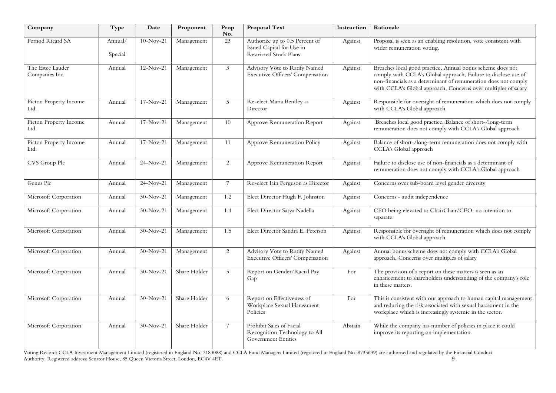| Company                            | Type               | Date        | Proponent    | Prop<br>No.    | <b>Proposal Text</b>                                                                         | Instruction | Rationale                                                                                                                                                                                                                                                         |
|------------------------------------|--------------------|-------------|--------------|----------------|----------------------------------------------------------------------------------------------|-------------|-------------------------------------------------------------------------------------------------------------------------------------------------------------------------------------------------------------------------------------------------------------------|
| Pernod Ricard SA                   | Annual/<br>Special | $10-Nov-21$ | Management   | 23             | Authorize up to 0.5 Percent of<br>Issued Capital for Use in<br><b>Restricted Stock Plans</b> | Against     | Proposal is seen as an enabling resolution, vote consistent with<br>wider remuneration voting.                                                                                                                                                                    |
| The Estee Lauder<br>Companies Inc. | Annual             | $12-Nov-21$ | Management   | 3              | Advisory Vote to Ratify Named<br>Executive Officers' Compensation                            | Against     | Breaches local good practice, Annual bonus scheme does not<br>comply with CCLA's Global approach, Failure to disclose use of<br>non-financials as a determinant of remuneration does not comply<br>with CCLA's Global approach, Concerns over multiples of salary |
| Picton Property Income<br>Ltd.     | Annual             | $17-Nov-21$ | Management   | 5              | Re-elect Maria Bentley as<br>Director                                                        | Against     | Responsible for oversight of remuneration which does not comply<br>with CCLA's Global approach                                                                                                                                                                    |
| Picton Property Income<br>Ltd.     | Annual             | $17-Nov-21$ | Management   | 10             | Approve Remuneration Report                                                                  | Against     | Breaches local good practice, Balance of short-/long-term<br>remuneration does not comply with CCLA's Global approach                                                                                                                                             |
| Picton Property Income<br>Ltd.     | Annual             | $17-Nov-21$ | Management   | 11             | Approve Remuneration Policy                                                                  | Against     | Balance of short-/long-term remuneration does not comply with<br>CCLA's Global approach                                                                                                                                                                           |
| CVS Group Plc                      | Annual             | 24-Nov-21   | Management   | $\overline{2}$ | Approve Remuneration Report                                                                  | Against     | Failure to disclose use of non-financials as a determinant of<br>remuneration does not comply with CCLA's Global approach                                                                                                                                         |
| Genus Plc                          | Annual             | $24-Nov-21$ | Management   | $\overline{7}$ | Re-elect Iain Ferguson as Director                                                           | Against     | Concerns over sub-board level gender diversity                                                                                                                                                                                                                    |
| Microsoft Corporation              | Annual             | $30-Nov-21$ | Management   | 1.2            | Elect Director Hugh F. Johnston                                                              | Against     | Concerns - audit independence                                                                                                                                                                                                                                     |
| Microsoft Corporation              | Annual             | $30-Nov-21$ | Management   | 1.4            | Elect Director Satya Nadella                                                                 | Against     | CEO being elevated to ChairChair/CEO: no intention to<br>separate.                                                                                                                                                                                                |
| Microsoft Corporation              | Annual             | 30-Nov-21   | Management   | 1.5            | Elect Director Sandra E. Peterson                                                            | Against     | Responsible for oversight of remuneration which does not comply<br>with CCLA's Global approach                                                                                                                                                                    |
| Microsoft Corporation              | Annual             | $30-Nov-21$ | Management   | 2              | Advisory Vote to Ratify Named<br><b>Executive Officers' Compensation</b>                     | Against     | Annual bonus scheme does not comply with CCLA's Global<br>approach, Concerns over multiples of salary                                                                                                                                                             |
| Microsoft Corporation              | Annual             | 30-Nov-21   | Share Holder | 5              | Report on Gender/Racial Pay<br>Gap                                                           | For         | The provision of a report on these matters is seen as an<br>enhancement to shareholders understanding of the company's role<br>in these matters.                                                                                                                  |
| Microsoft Corporation              | Annual             | $30-Nov-21$ | Share Holder | 6              | Report on Effectiveness of<br>Workplace Sexual Harassment<br>Policies                        | For         | This is consistent with our approach to human capital management<br>and reducing the risk associated with sexual harassment in the<br>workplace which is increasingly systemic in the sector.                                                                     |
| Microsoft Corporation              | Annual             | $30-Nov-21$ | Share Holder | $\overline{7}$ | Prohibit Sales of Facial<br>Recognition Technology to All<br><b>Government Entities</b>      | Abstain     | While the company has number of policies in place it could<br>improve its reporting on implementation.                                                                                                                                                            |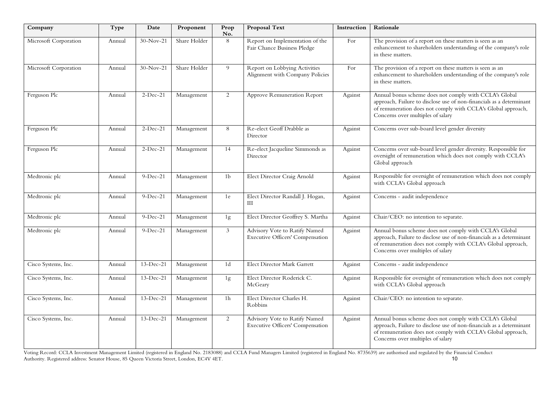| Company               | Type   | Date        | Proponent    | Prop<br>No.    | <b>Proposal Text</b>                                                     | Instruction | Rationale                                                                                                                                                                                                                           |
|-----------------------|--------|-------------|--------------|----------------|--------------------------------------------------------------------------|-------------|-------------------------------------------------------------------------------------------------------------------------------------------------------------------------------------------------------------------------------------|
| Microsoft Corporation | Annual | $30-Nov-21$ | Share Holder | 8              | Report on Implementation of the<br>Fair Chance Business Pledge           | For         | The provision of a report on these matters is seen as an<br>enhancement to shareholders understanding of the company's role<br>in these matters.                                                                                    |
| Microsoft Corporation | Annual | $30-Nov-21$ | Share Holder | 9              | Report on Lobbying Activities<br>Alignment with Company Policies         | For         | The provision of a report on these matters is seen as an<br>enhancement to shareholders understanding of the company's role<br>in these matters.                                                                                    |
| Ferguson Plc          | Annual | $2-Dec-21$  | Management   | 2              | Approve Remuneration Report                                              | Against     | Annual bonus scheme does not comply with CCLA's Global<br>approach, Failure to disclose use of non-financials as a determinant<br>of remuneration does not comply with CCLA's Global approach,<br>Concerns over multiples of salary |
| Ferguson Plc          | Annual | $2-Dec-21$  | Management   | 8              | Re-elect Geoff Drabble as<br>Director                                    | Against     | Concerns over sub-board level gender diversity                                                                                                                                                                                      |
| Ferguson Plc          | Annual | $2-Dec-21$  | Management   | 14             | Re-elect Jacqueline Simmonds as<br>Director                              | Against     | Concerns over sub-board level gender diversity. Responsible for<br>oversight of remuneration which does not comply with CCLA's<br>Global approach                                                                                   |
| Medtronic plc         | Annual | $9-Dec-21$  | Management   | 1 <sub>b</sub> | Elect Director Craig Arnold                                              | Against     | Responsible for oversight of remuneration which does not comply<br>with CCLA's Global approach                                                                                                                                      |
| Medtronic plc         | Annual | $9-Dec-21$  | Management   | 1e             | Elect Director Randall J. Hogan,<br>Ш                                    | Against     | Concerns - audit independence                                                                                                                                                                                                       |
| Medtronic plc         | Annual | $9-Dec-21$  | Management   | 1g             | Elect Director Geoffrey S. Martha                                        | Against     | Chair/CEO: no intention to separate.                                                                                                                                                                                                |
| Medtronic plc         | Annual | $9-Dec-21$  | Management   | $\mathfrak{Z}$ | Advisory Vote to Ratify Named<br><b>Executive Officers' Compensation</b> | Against     | Annual bonus scheme does not comply with CCLA's Global<br>approach, Failure to disclose use of non-financials as a determinant<br>of remuneration does not comply with CCLA's Global approach,<br>Concerns over multiples of salary |
| Cisco Systems, Inc.   | Annual | $13-Dec-21$ | Management   | 1d             | Elect Director Mark Garrett                                              | Against     | Concerns - audit independence                                                                                                                                                                                                       |
| Cisco Systems, Inc.   | Annual | $13-Dec-21$ | Management   | 1g             | Elect Director Roderick C.<br>McGeary                                    | Against     | Responsible for oversight of remuneration which does not comply<br>with CCLA's Global approach                                                                                                                                      |
| Cisco Systems, Inc.   | Annual | $13-Dec-21$ | Management   | 1 <sub>h</sub> | Elect Director Charles H.<br>Robbins                                     | Against     | Chair/CEO: no intention to separate.                                                                                                                                                                                                |
| Cisco Systems, Inc.   | Annual | 13-Dec-21   | Management   | 2              | Advisory Vote to Ratify Named<br>Executive Officers' Compensation        | Against     | Annual bonus scheme does not comply with CCLA's Global<br>approach, Failure to disclose use of non-financials as a determinant<br>of remuneration does not comply with CCLA's Global approach,<br>Concerns over multiples of salary |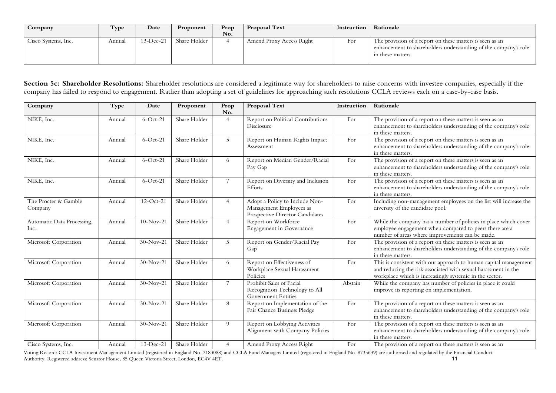| Company             | Type   | Date      | Proponent    | Prop<br>No. | <b>Proposal Text</b>     | Instruction | Rationale                                                                                                                                        |
|---------------------|--------|-----------|--------------|-------------|--------------------------|-------------|--------------------------------------------------------------------------------------------------------------------------------------------------|
| Cisco Systems, Inc. | Annual | 13-Dec-21 | Share Holder |             | Amend Proxy Access Right | For         | The provision of a report on these matters is seen as an<br>enhancement to shareholders understanding of the company's role<br>in these matters. |

Section 5c: Shareholder Resolutions: Shareholder resolutions are considered a legitimate way for shareholders to raise concerns with investee companies, especially if the company has failed to respond to engagement. Rather than adopting a set of guidelines for approaching such resolutions CCLA reviews each on a case-by-case basis.

| Company                            | Type   | Date        | Proponent    | Prop<br>No.     | Proposal Text                                                                                | Instruction | Rationale                                                                                                                                                                                     |
|------------------------------------|--------|-------------|--------------|-----------------|----------------------------------------------------------------------------------------------|-------------|-----------------------------------------------------------------------------------------------------------------------------------------------------------------------------------------------|
| NIKE, Inc.                         | Annual | $6$ -Oct-21 | Share Holder | $\overline{4}$  | Report on Political Contributions<br>Disclosure                                              | For         | The provision of a report on these matters is seen as an<br>enhancement to shareholders understanding of the company's role<br>in these matters.                                              |
| NIKE, Inc.                         | Annual | $6$ -Oct-21 | Share Holder | 5 <sup>5</sup>  | Report on Human Rights Impact<br>Assessment                                                  | For         | The provision of a report on these matters is seen as an<br>enhancement to shareholders understanding of the company's role<br>in these matters.                                              |
| NIKE, Inc.                         | Annual | $6$ -Oct-21 | Share Holder | 6               | Report on Median Gender/Racial<br>Pay Gap                                                    | For         | The provision of a report on these matters is seen as an<br>enhancement to shareholders understanding of the company's role<br>in these matters.                                              |
| NIKE, Inc.                         | Annual | $6$ -Oct-21 | Share Holder | $7\overline{ }$ | Report on Diversity and Inclusion<br>Efforts                                                 | For         | The provision of a report on these matters is seen as an<br>enhancement to shareholders understanding of the company's role<br>in these matters.                                              |
| The Procter & Gamble<br>Company    | Annual | $12-Oct-21$ | Share Holder | $\overline{4}$  | Adopt a Policy to Include Non-<br>Management Employees as<br>Prospective Director Candidates | For         | Including non-management employees on the list will increase the<br>diversity of the candidate pool.                                                                                          |
| Automatic Data Processing,<br>Inc. | Annual | $10-Nov-21$ | Share Holder | $\overline{4}$  | Report on Workforce<br><b>Engagement</b> in Governance                                       | For         | While the company has a number of policies in place which cover<br>employee engagement when compared to peers there are a<br>number of areas where improvements can be made.                  |
| Microsoft Corporation              | Annual | $30-Nov-21$ | Share Holder | 5               | Report on Gender/Racial Pay<br>Gap                                                           | For         | The provision of a report on these matters is seen as an<br>enhancement to shareholders understanding of the company's role<br>in these matters.                                              |
| Microsoft Corporation              | Annual | $30-Nov-21$ | Share Holder | 6               | Report on Effectiveness of<br>Workplace Sexual Harassment<br>Policies                        | For         | This is consistent with our approach to human capital management<br>and reducing the risk associated with sexual harassment in the<br>workplace which is increasingly systemic in the sector. |
| Microsoft Corporation              | Annual | $30-Nov-21$ | Share Holder | $7\overline{ }$ | Prohibit Sales of Facial<br>Recognition Technology to All<br><b>Government Entities</b>      | Abstain     | While the company has number of policies in place it could<br>improve its reporting on implementation.                                                                                        |
| Microsoft Corporation              | Annual | $30-Nov-21$ | Share Holder | 8               | Report on Implementation of the<br>Fair Chance Business Pledge                               | For         | The provision of a report on these matters is seen as an<br>enhancement to shareholders understanding of the company's role<br>in these matters.                                              |
| Microsoft Corporation              | Annual | $30-Nov-21$ | Share Holder | 9               | Report on Lobbying Activities<br>Alignment with Company Policies                             | For         | The provision of a report on these matters is seen as an<br>enhancement to shareholders understanding of the company's role<br>in these matters.                                              |
| Cisco Systems, Inc.                | Annual | $13-Dec-21$ | Share Holder | $\overline{4}$  | Amend Proxy Access Right                                                                     | For         | The provision of a report on these matters is seen as an                                                                                                                                      |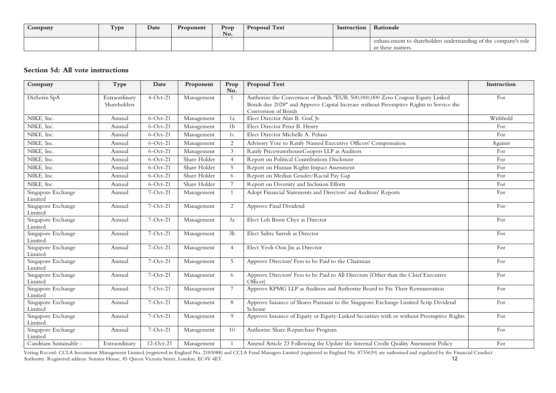| Company | Type | Date | Proponent | Prop<br>No. | <b>Proposal Text</b> | Instruction | Rationale                                                                            |
|---------|------|------|-----------|-------------|----------------------|-------------|--------------------------------------------------------------------------------------|
|         |      |      |           |             |                      |             | enhancement to shareholders understanding of the company's role<br>in these matters. |

## **Section 5d: All vote instructions**

| Company                       | Type                          | Date        | Proponent    | Prop<br>No.     | Proposal Text                                                                                                                                                                                | Instruction |
|-------------------------------|-------------------------------|-------------|--------------|-----------------|----------------------------------------------------------------------------------------------------------------------------------------------------------------------------------------------|-------------|
| DiaSorin SpA                  | Extraordinary<br>Shareholders | $4-Oct-21$  | Management   |                 | Authorize the Conversion of Bonds "EUR 500,000,000 Zero Coupon Equity Linked<br>Bonds due 2028" and Approve Capital Increase without Preemptive Rights to Service the<br>Conversion of Bonds | For         |
| NIKE, Inc.                    | Annual                        | $6$ -Oct-21 | Management   | 1a              | Elect Director Alan B. Graf, Jr.                                                                                                                                                             | Withhold    |
| NIKE, Inc.                    | Annual                        | $6$ -Oct-21 | Management   | 1 <sub>b</sub>  | Elect Director Peter B. Henry                                                                                                                                                                | For         |
| NIKE, Inc.                    | Annual                        | $6$ -Oct-21 | Management   | 1c              | Elect Director Michelle A. Peluso                                                                                                                                                            | For         |
| NIKE, Inc.                    | Annual                        | $6$ -Oct-21 | Management   | 2               | Advisory Vote to Ratify Named Executive Officers' Compensation                                                                                                                               | Against     |
| NIKE, Inc.                    | Annual                        | $6$ -Oct-21 | Management   | 3               | Ratify PricewaterhouseCoopers LLP as Auditors                                                                                                                                                | For         |
| NIKE, Inc.                    | Annual                        | $6$ -Oct-21 | Share Holder | $\overline{4}$  | Report on Political Contributions Disclosure                                                                                                                                                 | For         |
| NIKE, Inc.                    | Annual                        | $6$ -Oct-21 | Share Holder | 5               | Report on Human Rights Impact Assessment                                                                                                                                                     | For         |
| NIKE, Inc.                    | Annual                        | $6$ -Oct-21 | Share Holder | 6               | Report on Median Gender/Racial Pay Gap                                                                                                                                                       | For         |
| NIKE, Inc.                    | Annual                        | $6$ -Oct-21 | Share Holder | $\overline{7}$  | Report on Diversity and Inclusion Efforts                                                                                                                                                    | For         |
| Singapore Exchange<br>Limited | Annual                        | $7-Oct-21$  | Management   | $\mathbf{1}$    | Adopt Financial Statements and Directors' and Auditors' Reports                                                                                                                              | For         |
| Singapore Exchange<br>Limited | Annual                        | $7-Oct-21$  | Management   | 2               | Approve Final Dividend                                                                                                                                                                       | For         |
| Singapore Exchange<br>Limited | Annual                        | $7-Oct-21$  | Management   | 3a              | Elect Loh Boon Chye as Director                                                                                                                                                              | For         |
| Singapore Exchange<br>Limited | Annual                        | $7-Oct-21$  | Management   | 3 <sub>b</sub>  | Elect Subra Suresh as Director                                                                                                                                                               | For         |
| Singapore Exchange<br>Limited | Annual                        | $7-Oct-21$  | Management   | $\overline{4}$  | Elect Yeoh Oon Jin as Director                                                                                                                                                               | For         |
| Singapore Exchange<br>Limited | Annual                        | $7-Oct-21$  | Management   | 5               | Approve Directors' Fees to be Paid to the Chairman                                                                                                                                           | For         |
| Singapore Exchange<br>Limited | Annual                        | $7-Oct-21$  | Management   | 6               | Approve Directors' Fees to be Paid to All Directors (Other than the Chief Executive<br>Officer)                                                                                              | For         |
| Singapore Exchange<br>Limited | Annual                        | 7-Oct-21    | Management   | $7\overline{ }$ | Approve KPMG LLP as Auditors and Authorize Board to Fix Their Remuneration                                                                                                                   | For         |
| Singapore Exchange<br>Limited | Annual                        | $7-Oct-21$  | Management   | 8               | Approve Issuance of Shares Pursuant to the Singapore Exchange Limited Scrip Dividend<br>Scheme                                                                                               | For         |
| Singapore Exchange<br>Limited | Annual                        | $7-Oct-21$  | Management   | 9               | Approve Issuance of Equity or Equity-Linked Securities with or without Preemptive Rights                                                                                                     | For         |
| Singapore Exchange<br>Limited | Annual                        | 7-Oct-21    | Management   | 10              | Authorize Share Repurchase Program                                                                                                                                                           | For         |
| Candriam Sustainable -        | Extraordinary                 | $12-Oct-21$ | Management   |                 | Amend Article 23 Following the Update the Internal Credit Quality Assessment Policy                                                                                                          | For         |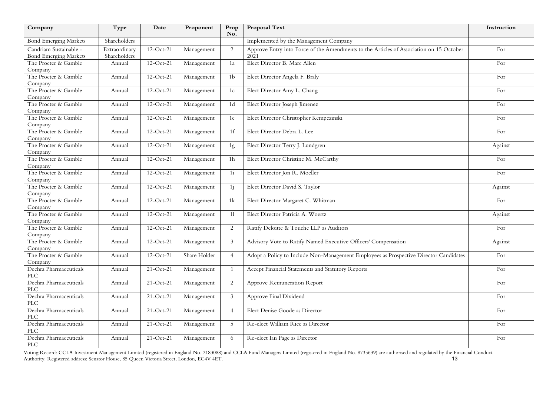| Company                                                | Type                          | Date         | Proponent    | Prop<br>No.    | <b>Proposal Text</b>                                                                            | Instruction |
|--------------------------------------------------------|-------------------------------|--------------|--------------|----------------|-------------------------------------------------------------------------------------------------|-------------|
| <b>Bond Emerging Markets</b>                           | Shareholders                  |              |              |                | Implemented by the Management Company                                                           |             |
| Candriam Sustainable -<br><b>Bond Emerging Markets</b> | Extraordinary<br>Shareholders | $12-Oct-21$  | Management   | 2              | Approve Entry into Force of the Amendments to the Articles of Association on 15 October<br>2021 | For         |
| The Procter & Gamble<br>Company                        | Annual                        | $12-Oct-21$  | Management   | 1a             | Elect Director B. Marc Allen                                                                    | For         |
| The Procter & Gamble<br>Company                        | Annual                        | $12-Oct-21$  | Management   | 1 <sub>b</sub> | Elect Director Angela F. Braly                                                                  | For         |
| The Procter & Gamble<br>Company                        | Annual                        | $12-Oct-21$  | Management   | 1c             | Elect Director Amy L. Chang                                                                     | For         |
| The Procter & Gamble<br>Company                        | Annual                        | $12-Oct-21$  | Management   | 1 <sub>d</sub> | Elect Director Joseph Jimenez                                                                   | For         |
| The Procter & Gamble<br>Company                        | Annual                        | $12-Oct-21$  | Management   | 1e             | Elect Director Christopher Kempczinski                                                          | For         |
| The Procter & Gamble<br>Company                        | Annual                        | $12-Oct-21$  | Management   | 1 <sup>f</sup> | Elect Director Debra L. Lee                                                                     | For         |
| The Procter & Gamble<br>Company                        | Annual                        | $12-Oct-21$  | Management   | 1g             | Elect Director Terry J. Lundgren                                                                | Against     |
| The Procter & Gamble<br>Company                        | Annual                        | $12-Oct-21$  | Management   | 1 <sub>h</sub> | Elect Director Christine M. McCarthy                                                            | For         |
| The Procter & Gamble<br>Company                        | Annual                        | $12$ -Oct-21 | Management   | 1i             | Elect Director Jon R. Moeller                                                                   | For         |
| The Procter & Gamble<br>Company                        | Annual                        | $12$ -Oct-21 | Management   | 1j             | Elect Director David S. Taylor                                                                  | Against     |
| The Procter & Gamble<br>Company                        | Annual                        | $12-Oct-21$  | Management   | 1k             | Elect Director Margaret C. Whitman                                                              | For         |
| The Procter & Gamble<br>Company                        | Annual                        | $12-Oct-21$  | Management   | 11             | Elect Director Patricia A. Woertz                                                               | Against     |
| The Procter & Gamble<br>Company                        | Annual                        | $12-Oct-21$  | Management   | 2              | Ratify Deloitte & Touche LLP as Auditors                                                        | For         |
| The Procter & Gamble<br>Company                        | Annual                        | $12-Oct-21$  | Management   | 3              | Advisory Vote to Ratify Named Executive Officers' Compensation                                  | Against     |
| The Procter & Gamble<br>Company                        | Annual                        | $12-Oct-21$  | Share Holder | $\overline{4}$ | Adopt a Policy to Include Non-Management Employees as Prospective Director Candidates           | For         |
| Dechra Pharmaceuticals<br><b>PLC</b>                   | Annual                        | $21-Oct-21$  | Management   | -1             | Accept Financial Statements and Statutory Reports                                               | For         |
| Dechra Pharmaceuticals<br>PLC                          | Annual                        | $21-Oct-21$  | Management   | 2              | Approve Remuneration Report                                                                     | For         |
| Dechra Pharmaceuticals<br>PLC                          | Annual                        | $21-Oct-21$  | Management   | 3              | Approve Final Dividend                                                                          | For         |
| Dechra Pharmaceuticals<br>PLC                          | Annual                        | $21-Oct-21$  | Management   | $\overline{4}$ | Elect Denise Goode as Director                                                                  | For         |
| Dechra Pharmaceuticals<br>PLC                          | Annual                        | $21-Oct-21$  | Management   | 5              | Re-elect William Rice as Director                                                               | For         |
| Dechra Pharmaceuticals<br>PLC                          | Annual                        | $21-Oct-21$  | Management   | 6              | Re-elect Ian Page as Director                                                                   | For         |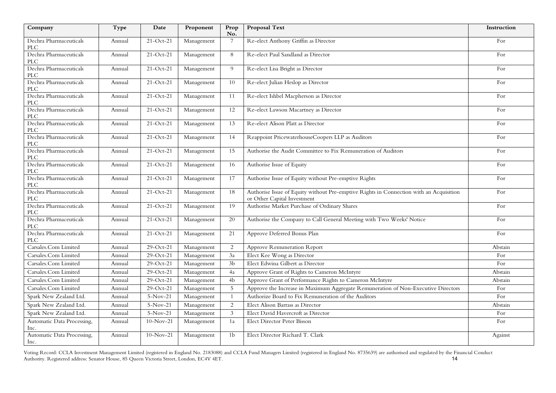| Company                                             | Type   | Date        | Proponent  | Prop<br>No.    | <b>Proposal Text</b>                                                                                                  | Instruction |
|-----------------------------------------------------|--------|-------------|------------|----------------|-----------------------------------------------------------------------------------------------------------------------|-------------|
| Dechra Pharmaceuticals<br>PLC                       | Annual | $21-Oct-21$ | Management | 7              | Re-elect Anthony Griffin as Director                                                                                  | For         |
| Dechra Pharmaceuticals<br><b>PLC</b>                | Annual | $21-Oct-21$ | Management | 8              | Re-elect Paul Sandland as Director                                                                                    | For         |
| Dechra Pharmaceuticals<br><b>PLC</b>                | Annual | $21-Oct-21$ | Management | 9              | Re-elect Lisa Bright as Director                                                                                      | For         |
| Dechra Pharmaceuticals<br>PLC                       | Annual | $21-Oct-21$ | Management | 10             | Re-elect Julian Heslop as Director                                                                                    | For         |
| Dechra Pharmaceuticals<br>$\ensuremath{\text{PLC}}$ | Annual | $21-Oct-21$ | Management | 11             | Re-elect Ishbel Macpherson as Director                                                                                | For         |
| Dechra Pharmaceuticals<br><b>PLC</b>                | Annual | $21-Oct-21$ | Management | 12             | Re-elect Lawson Macartney as Director                                                                                 | For         |
| Dechra Pharmaceuticals<br>PLC                       | Annual | $21-Oct-21$ | Management | 13             | Re-elect Alison Platt as Director                                                                                     | For         |
| Dechra Pharmaceuticals<br><b>PLC</b>                | Annual | $21-Oct-21$ | Management | 14             | Reappoint PricewaterhouseCoopers LLP as Auditors                                                                      | For         |
| Dechra Pharmaceuticals<br><b>PLC</b>                | Annual | $21-Oct-21$ | Management | 15             | Authorise the Audit Committee to Fix Remuneration of Auditors                                                         | For         |
| Dechra Pharmaceuticals<br>$\ensuremath{\text{PLC}}$ | Annual | $21-Oct-21$ | Management | 16             | Authorise Issue of Equity                                                                                             | For         |
| Dechra Pharmaceuticals<br><b>PLC</b>                | Annual | $21-Oct-21$ | Management | 17             | Authorise Issue of Equity without Pre-emptive Rights                                                                  | For         |
| Dechra Pharmaceuticals<br><b>PLC</b>                | Annual | $21-Oct-21$ | Management | 18             | Authorise Issue of Equity without Pre-emptive Rights in Connection with an Acquisition<br>or Other Capital Investment | For         |
| Dechra Pharmaceuticals<br>PLC                       | Annual | $21-Oct-21$ | Management | 19             | Authorise Market Purchase of Ordinary Shares                                                                          | For         |
| Dechra Pharmaceuticals<br><b>PLC</b>                | Annual | $21-Oct-21$ | Management | 20             | Authorise the Company to Call General Meeting with Two Weeks' Notice                                                  | For         |
| Dechra Pharmaceuticals<br>PLC                       | Annual | $21-Oct-21$ | Management | 21             | Approve Deferred Bonus Plan                                                                                           | For         |
| Carsales.Com Limited                                | Annual | 29-Oct-21   | Management | 2              | Approve Remuneration Report                                                                                           | Abstain     |
| Carsales.Com Limited                                | Annual | 29-Oct-21   | Management | 3a             | Elect Kee Wong as Director                                                                                            | For         |
| Carsales.Com Limited                                | Annual | 29-Oct-21   | Management | 3 <sub>b</sub> | Elect Edwina Gilbert as Director                                                                                      | For         |
| Carsales.Com Limited                                | Annual | 29-Oct-21   | Management | 4a             | Approve Grant of Rights to Cameron McIntyre                                                                           | Abstain     |
| Carsales.Com Limited                                | Annual | 29-Oct-21   | Management | 4b             | Approve Grant of Performance Rights to Cameron McIntyre                                                               | Abstain     |
| Carsales.Com Limited                                | Annual | 29-Oct-21   | Management | 5              | Approve the Increase in Maximum Aggregate Remuneration of Non-Executive Directors                                     | For         |
| Spark New Zealand Ltd.                              | Annual | $5-Nov-21$  | Management | -1             | Authorize Board to Fix Remuneration of the Auditors                                                                   | For         |
| Spark New Zealand Ltd.                              | Annual | $5-Nov-21$  | Management | 2              | Elect Alison Barrass as Director                                                                                      | Abstain     |
| Spark New Zealand Ltd.                              | Annual | $5-Nov-21$  | Management | $\mathfrak{Z}$ | Elect David Havercroft as Director                                                                                    | For         |
| Automatic Data Processing,<br>Inc.                  | Annual | $10-Nov-21$ | Management | 1a             | Elect Director Peter Bisson                                                                                           | For         |
| Automatic Data Processing,<br>Inc.                  | Annual | $10-Nov-21$ | Management | 1 <sub>b</sub> | Elect Director Richard T. Clark                                                                                       | Against     |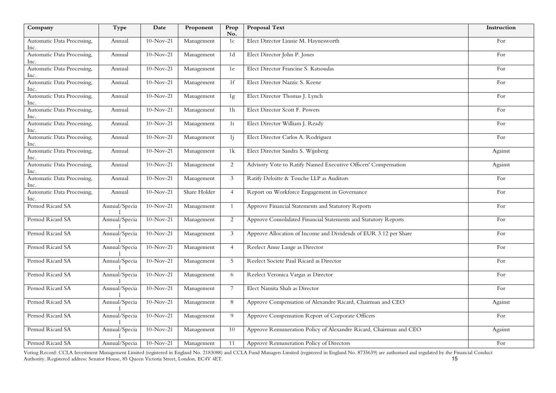| Company                            | Type          | Date        | Proponent    | Prop<br>No.    | <b>Proposal Text</b>                                              | Instruction |
|------------------------------------|---------------|-------------|--------------|----------------|-------------------------------------------------------------------|-------------|
| Automatic Data Processing,<br>Inc. | Annual        | $10-Nov-21$ | Management   | 1c             | Elect Director Linnie M. Haynesworth                              | For         |
| Automatic Data Processing,<br>Inc. | Annual        | $10-Nov-21$ | Management   | 1 <sub>d</sub> | Elect Director John P. Jones                                      | For         |
| Automatic Data Processing,<br>Inc. | Annual        | $10-Nov-21$ | Management   | 1e             | Elect Director Francine S. Katsoudas                              | For         |
| Automatic Data Processing,<br>Inc. | Annual        | $10-Nov-21$ | Management   | 1 <sup>f</sup> | Elect Director Nazzic S. Keene                                    | For         |
| Automatic Data Processing,<br>Inc. | Annual        | $10-Nov-21$ | Management   | 1g             | Elect Director Thomas J. Lynch                                    | For         |
| Automatic Data Processing,<br>Inc. | Annual        | $10-Nov-21$ | Management   | 1 <sub>h</sub> | Elect Director Scott F. Powers                                    | For         |
| Automatic Data Processing,<br>Inc. | Annual        | $10-Nov-21$ | Management   | 1i             | Elect Director William J. Ready                                   | For         |
| Automatic Data Processing,<br>Inc. | Annual        | $10-Nov-21$ | Management   | 1j             | Elect Director Carlos A. Rodriguez                                | For         |
| Automatic Data Processing,<br>Inc. | Annual        | $10-Nov-21$ | Management   | 1k             | Elect Director Sandra S. Wijnberg                                 | Against     |
| Automatic Data Processing,<br>Inc. | Annual        | $10-Nov-21$ | Management   | 2              | Advisory Vote to Ratify Named Executive Officers' Compensation    | Against     |
| Automatic Data Processing,<br>Inc. | Annual        | $10-Nov-21$ | Management   | 3              | Ratify Deloitte & Touche LLP as Auditors                          | For         |
| Automatic Data Processing,<br>Inc. | Annual        | $10-Nov-21$ | Share Holder | $\overline{4}$ | Report on Workforce Engagement in Governance                      | For         |
| Pernod Ricard SA                   | Annual/Specia | $10-Nov-21$ | Management   | $\mathbf{1}$   | Approve Financial Statements and Statutory Reports                | For         |
| Pernod Ricard SA                   | Annual/Specia | $10-Nov-21$ | Management   | 2              | Approve Consolidated Financial Statements and Statutory Reports   | For         |
| Pernod Ricard SA                   | Annual/Specia | $10-Nov-21$ | Management   | 3              | Approve Allocation of Income and Dividends of EUR 3.12 per Share  | For         |
| Pernod Ricard SA                   | Annual/Specia | $10-Nov-21$ | Management   | $\overline{4}$ | Reelect Anne Lange as Director                                    | For         |
| Pernod Ricard SA                   | Annual/Specia | $10-Nov-21$ | Management   | 5              | Reelect Societe Paul Ricard as Director                           | For         |
| Pernod Ricard SA                   | Annual/Specia | $10-Nov-21$ | Management   | 6              | Reelect Veronica Vargas as Director                               | For         |
| Pernod Ricard SA                   | Annual/Specia | $10-Nov-21$ | Management   | 7              | Elect Namita Shah as Director                                     | For         |
| Pernod Ricard SA                   | Annual/Specia | $10-Nov-21$ | Management   | 8              | Approve Compensation of Alexandre Ricard, Chairman and CEO        | Against     |
| Pernod Ricard SA                   | Annual/Specia | $10-Nov-21$ | Management   | 9              | Approve Compensation Report of Corporate Officers                 | For         |
| Pernod Ricard SA                   | Annual/Specia | $10-Nov-21$ | Management   | 10             | Approve Remuneration Policy of Alexandre Ricard, Chairman and CEO | Against     |
| Pernod Ricard SA                   | Annual/Specia | $10-Nov-21$ | Management   | 11             | Approve Remuneration Policy of Directors                          | For         |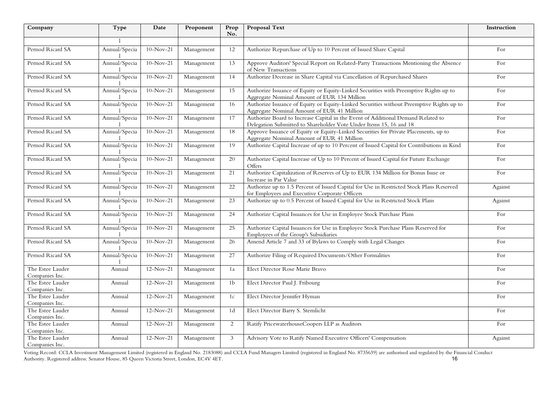| Company                            | Type          | Date        | Proponent  | Prop<br>No.     | <b>Proposal Text</b>                                                                                                                                   | Instruction |
|------------------------------------|---------------|-------------|------------|-----------------|--------------------------------------------------------------------------------------------------------------------------------------------------------|-------------|
|                                    |               |             |            |                 |                                                                                                                                                        |             |
| Pernod Ricard SA                   | Annual/Specia | $10-Nov-21$ | Management | 12              | Authorize Repurchase of Up to 10 Percent of Issued Share Capital                                                                                       | For         |
| Pernod Ricard SA                   | Annual/Specia | $10-Nov-21$ | Management | 13              | Approve Auditors' Special Report on Related-Party Transactions Mentioning the Absence<br>of New Transactions                                           | For         |
| Pernod Ricard SA                   | Annual/Specia | $10-Nov-21$ | Management | 14              | Authorize Decrease in Share Capital via Cancellation of Repurchased Shares                                                                             | For         |
| Pernod Ricard SA                   | Annual/Specia | $10-Nov-21$ | Management | $\overline{15}$ | Authorize Issuance of Equity or Equity-Linked Securities with Preemptive Rights up to<br>Aggregate Nominal Amount of EUR 134 Million                   | For         |
| Pernod Ricard SA                   | Annual/Specia | $10-Nov-21$ | Management | 16              | Authorize Issuance of Equity or Equity-Linked Securities without Preemptive Rights up to<br>Aggregate Nominal Amount of EUR 41 Million                 | For         |
| Pernod Ricard SA                   | Annual/Specia | $10-Nov-21$ | Management | 17              | Authorize Board to Increase Capital in the Event of Additional Demand Related to<br>Delegation Submitted to Shareholder Vote Under Items 15, 16 and 18 | For         |
| Pernod Ricard SA                   | Annual/Specia | $10-Nov-21$ | Management | 18              | Approve Issuance of Equity or Equity-Linked Securities for Private Placements, up to<br>Aggregate Nominal Amount of EUR 41 Million                     | For         |
| Pernod Ricard SA                   | Annual/Specia | $10-Nov-21$ | Management | 19              | Authorize Capital Increase of up to 10 Percent of Issued Capital for Contributions in Kind                                                             | For         |
| Pernod Ricard SA                   | Annual/Specia | $10-Nov-21$ | Management | 20              | Authorize Capital Increase of Up to 10 Percent of Issued Capital for Future Exchange<br>Offers                                                         | For         |
| Pernod Ricard SA                   | Annual/Specia | $10-Nov-21$ | Management | 21              | Authorize Capitalization of Reserves of Up to EUR 134 Million for Bonus Issue or<br>Increase in Par Value                                              | For         |
| Pernod Ricard SA                   | Annual/Specia | $10-Nov-21$ | Management | $22\,$          | Authorize up to 1.5 Percent of Issued Capital for Use in Restricted Stock Plans Reserved<br>for Employees and Executive Corporate Officers             | Against     |
| Pernod Ricard SA                   | Annual/Specia | $10-Nov-21$ | Management | 23              | Authorize up to 0.5 Percent of Issued Capital for Use in Restricted Stock Plans                                                                        | Against     |
| Pernod Ricard SA                   | Annual/Specia | $10-Nov-21$ | Management | 24              | Authorize Capital Issuances for Use in Employee Stock Purchase Plans                                                                                   | For         |
| Pernod Ricard SA                   | Annual/Specia | $10-Nov-21$ | Management | 25              | Authorize Capital Issuances for Use in Employee Stock Purchase Plans Reserved for<br>Employees of the Group's Subsidiaries                             | For         |
| Pernod Ricard SA                   | Annual/Specia | $10-Nov-21$ | Management | $\overline{26}$ | Amend Article 7 and 33 of Bylaws to Comply with Legal Changes                                                                                          | For         |
| Pernod Ricard SA                   | Annual/Specia | $10-Nov-21$ | Management | 27              | Authorize Filing of Required Documents/Other Formalities                                                                                               | For         |
| The Estee Lauder<br>Companies Inc. | Annual        | $12-Nov-21$ | Management | 1a              | Elect Director Rose Marie Bravo                                                                                                                        | For         |
| The Estee Lauder<br>Companies Inc. | Annual        | $12-Nov-21$ | Management | 1 <sub>b</sub>  | Elect Director Paul J. Fribourg                                                                                                                        | For         |
| The Estee Lauder<br>Companies Inc. | Annual        | $12-Nov-21$ | Management | 1c              | Elect Director Jennifer Hyman                                                                                                                          | For         |
| The Estee Lauder<br>Companies Inc. | Annual        | $12-Nov-21$ | Management | 1 <sub>d</sub>  | Elect Director Barry S. Sternlicht                                                                                                                     | For         |
| The Estee Lauder<br>Companies Inc. | Annual        | $12-Nov-21$ | Management | 2               | Ratify PricewaterhouseCoopers LLP as Auditors                                                                                                          | For         |
| The Estee Lauder<br>Companies Inc. | Annual        | $12-Nov-21$ | Management | 3               | Advisory Vote to Ratify Named Executive Officers' Compensation                                                                                         | Against     |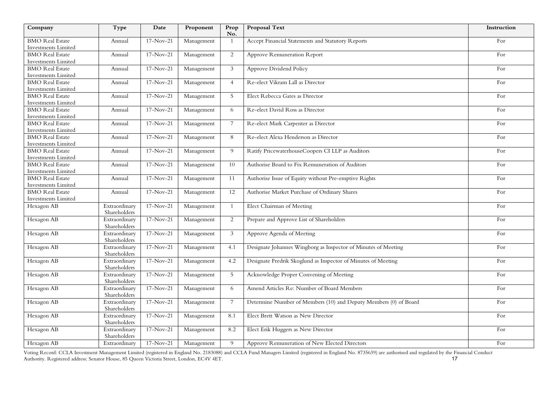| Company                                       | Type                          | Date        | Proponent  | Prop<br>No.    | <b>Proposal Text</b>                                             | Instruction |
|-----------------------------------------------|-------------------------------|-------------|------------|----------------|------------------------------------------------------------------|-------------|
| <b>BMO</b> Real Estate                        | Annual                        | $17-Nov-21$ | Management | $\overline{1}$ | Accept Financial Statements and Statutory Reports                | For         |
| <b>Investments Limited</b>                    |                               |             |            |                |                                                                  |             |
| <b>BMO</b> Real Estate                        | Annual                        | $17-Nov-21$ | Management | 2              | Approve Remuneration Report                                      | For         |
| Investments Limited                           |                               |             |            |                |                                                                  |             |
| <b>BMO</b> Real Estate                        | Annual                        | $17-Nov-21$ | Management | 3              | Approve Dividend Policy                                          | For         |
| <b>Investments Limited</b>                    |                               |             |            |                |                                                                  |             |
| <b>BMO</b> Real Estate                        | Annual                        | $17-Nov-21$ | Management | $\overline{4}$ | Re-elect Vikram Lall as Director                                 | For         |
| Investments Limited                           |                               |             |            |                |                                                                  |             |
| <b>BMO</b> Real Estate                        | Annual                        | $17-Nov-21$ | Management | 5              | Elect Rebecca Gates as Director                                  | For         |
| Investments Limited<br><b>BMO</b> Real Estate | Annual                        | $17-Nov-21$ | Management | 6              | Re-elect David Ross as Director                                  | For         |
| Investments Limited                           |                               |             |            |                |                                                                  |             |
| <b>BMO</b> Real Estate                        | Annual                        | $17-Nov-21$ | Management | $\overline{7}$ | Re-elect Mark Carpenter as Director                              | For         |
| <b>Investments Limited</b>                    |                               |             |            |                |                                                                  |             |
| <b>BMO</b> Real Estate                        | Annual                        | $17-Nov-21$ | Management | 8              | Re-elect Alexa Henderson as Director                             | For         |
| <b>Investments Limited</b>                    |                               |             |            |                |                                                                  |             |
| <b>BMO</b> Real Estate                        | Annual                        | $17-Nov-21$ | Management | 9              | Ratify PricewaterhouseCoopers CI LLP as Auditors                 | For         |
| Investments Limited                           |                               |             |            |                |                                                                  |             |
| <b>BMO</b> Real Estate                        | Annual                        | $17-Nov-21$ | Management | 10             | Authorise Board to Fix Remuneration of Auditors                  | For         |
| Investments Limited                           |                               |             |            |                |                                                                  |             |
| <b>BMO</b> Real Estate                        | Annual                        | $17-Nov-21$ | Management | 11             | Authorise Issue of Equity without Pre-emptive Rights             | For         |
| <b>Investments Limited</b>                    |                               |             |            |                |                                                                  |             |
| <b>BMO</b> Real Estate                        | Annual                        | $17-Nov-21$ | Management | 12             | Authorise Market Purchase of Ordinary Shares                     | For         |
| Investments Limited                           |                               |             |            |                |                                                                  |             |
| Hexagon AB                                    | Extraordinary<br>Shareholders | $17-Nov-21$ | Management | $\mathbf{1}$   | Elect Chairman of Meeting                                        | For         |
| Hexagon AB                                    | Extraordinary                 | $17-Nov-21$ | Management | 2              | Prepare and Approve List of Shareholders                         | For         |
|                                               | Shareholders                  |             |            |                |                                                                  |             |
| Hexagon AB                                    | Extraordinary                 | $17-Nov-21$ | Management | $\mathbf{3}$   | Approve Agenda of Meeting                                        | For         |
|                                               | Shareholders                  |             |            |                |                                                                  |             |
| Hexagon AB                                    | Extraordinary<br>Shareholders | $17-Nov-21$ | Management | 4.1            | Designate Johannes Wingborg as Inspector of Minutes of Meeting   | For         |
| Hexagon AB                                    | Extraordinary<br>Shareholders | $17-Nov-21$ | Management | 4.2            | Designate Fredrik Skoglund as Inspector of Minutes of Meeting    | For         |
| Hexagon AB                                    | Extraordinary                 | $17-Nov-21$ | Management | 5              | Acknowledge Proper Convening of Meeting                          | For         |
|                                               | Shareholders                  |             |            |                |                                                                  |             |
| Hexagon AB                                    | Extraordinary                 | $17-Nov-21$ | Management | 6              | Amend Articles Re: Number of Board Members                       | For         |
|                                               | Shareholders                  |             |            |                |                                                                  |             |
| Hexagon AB                                    | Extraordinary<br>Shareholders | $17-Nov-21$ | Management | $\overline{7}$ | Determine Number of Members (10) and Deputy Members (0) of Board | For         |
| Hexagon AB                                    | Extraordinary<br>Shareholders | $17-Nov-21$ | Management | 8.1            | Elect Brett Watson as New Director                               | For         |
| Hexagon AB                                    | Extraordinary<br>Shareholders | $17-Nov-21$ | Management | 8.2            | Elect Erik Huggers as New Director                               | For         |
| Hexagon AB                                    | Extraordinary                 | $17-Nov-21$ | Management | 9              | Approve Remuneration of New Elected Directors                    | For         |
|                                               |                               |             |            |                |                                                                  |             |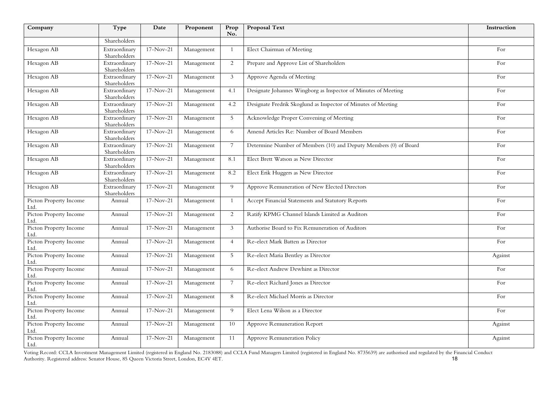| Company                        | Type                          | Date        | Proponent  | Prop<br>No.     | <b>Proposal Text</b>                                             | Instruction |
|--------------------------------|-------------------------------|-------------|------------|-----------------|------------------------------------------------------------------|-------------|
|                                | Shareholders                  |             |            |                 |                                                                  |             |
| Hexagon AB                     | Extraordinary<br>Shareholders | $17-Nov-21$ | Management | $\mathbf{1}$    | Elect Chairman of Meeting                                        | For         |
| Hexagon AB                     | Extraordinary<br>Shareholders | $17-Nov-21$ | Management | 2               | Prepare and Approve List of Shareholders                         | For         |
| Hexagon AB                     | Extraordinary<br>Shareholders | $17-Nov-21$ | Management | 3               | Approve Agenda of Meeting                                        | For         |
| Hexagon AB                     | Extraordinary<br>Shareholders | $17-Nov-21$ | Management | 4.1             | Designate Johannes Wingborg as Inspector of Minutes of Meeting   | For         |
| Hexagon AB                     | Extraordinary<br>Shareholders | $17-Nov-21$ | Management | 4.2             | Designate Fredrik Skoglund as Inspector of Minutes of Meeting    | For         |
| Hexagon AB                     | Extraordinary<br>Shareholders | $17-Nov-21$ | Management | 5               | Acknowledge Proper Convening of Meeting                          | For         |
| Hexagon AB                     | Extraordinary<br>Shareholders | $17-Nov-21$ | Management | 6               | Amend Articles Re: Number of Board Members                       | For         |
| Hexagon AB                     | Extraordinary<br>Shareholders | $17-Nov-21$ | Management | $7\overline{ }$ | Determine Number of Members (10) and Deputy Members (0) of Board | For         |
| Hexagon AB                     | Extraordinary<br>Shareholders | $17-Nov-21$ | Management | 8.1             | Elect Brett Watson as New Director                               | For         |
| Hexagon AB                     | Extraordinary<br>Shareholders | $17-Nov-21$ | Management | 8.2             | Elect Erik Huggers as New Director                               | For         |
| Hexagon AB                     | Extraordinary<br>Shareholders | $17-Nov-21$ | Management | 9               | Approve Remuneration of New Elected Directors                    | For         |
| Picton Property Income<br>Ltd. | Annual                        | $17-Nov-21$ | Management | -1              | Accept Financial Statements and Statutory Reports                | For         |
| Picton Property Income<br>Ltd. | Annual                        | $17-Nov-21$ | Management | 2               | Ratify KPMG Channel Islands Limited as Auditors                  | For         |
| Picton Property Income<br>Ltd. | Annual                        | $17-Nov-21$ | Management | 3               | Authorise Board to Fix Remuneration of Auditors                  | For         |
| Picton Property Income<br>Ltd. | Annual                        | $17-Nov-21$ | Management | $\overline{4}$  | Re-elect Mark Batten as Director                                 | For         |
| Picton Property Income<br>Ltd. | Annual                        | $17-Nov-21$ | Management | 5               | Re-elect Maria Bentley as Director                               | Against     |
| Picton Property Income<br>Ltd. | Annual                        | $17-Nov-21$ | Management | 6               | Re-elect Andrew Dewhirst as Director                             | For         |
| Picton Property Income<br>Ltd. | Annual                        | $17-Nov-21$ | Management | 7               | Re-elect Richard Jones as Director                               | For         |
| Picton Property Income<br>Ltd. | Annual                        | $17-Nov-21$ | Management | 8               | Re-elect Michael Morris as Director                              | For         |
| Picton Property Income<br>Ltd. | Annual                        | $17-Nov-21$ | Management | 9               | Elect Lena Wilson as a Director                                  | For         |
| Picton Property Income<br>Ltd. | Annual                        | $17-Nov-21$ | Management | 10              | Approve Remuneration Report                                      | Against     |
| Picton Property Income<br>Ltd. | Annual                        | $17-Nov-21$ | Management | 11              | Approve Remuneration Policy                                      | Against     |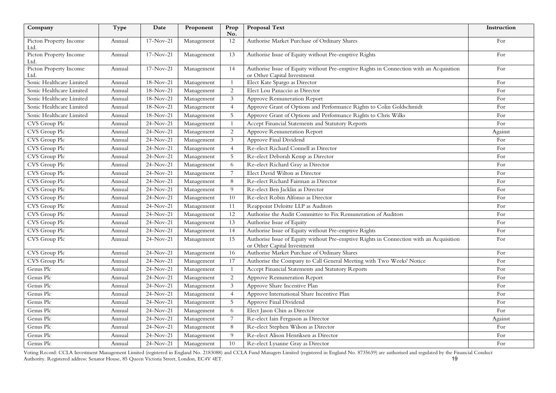| Company                        | Type   | Date        | Proponent  | Prop<br>No.     | <b>Proposal Text</b>                                                                                                  | Instruction |
|--------------------------------|--------|-------------|------------|-----------------|-----------------------------------------------------------------------------------------------------------------------|-------------|
| Picton Property Income<br>Ltd. | Annual | $17-Nov-21$ | Management | 12              | Authorise Market Purchase of Ordinary Shares                                                                          | For         |
| Picton Property Income<br>Ltd. | Annual | $17-Nov-21$ | Management | 13              | Authorise Issue of Equity without Pre-emptive Rights                                                                  | For         |
| Picton Property Income<br>Ltd. | Annual | $17-Nov-21$ | Management | 14              | Authorise Issue of Equity without Pre-emptive Rights in Connection with an Acquisition<br>or Other Capital Investment | For         |
| Sonic Healthcare Limited       | Annual | 18-Nov-21   | Management | $\mathbf{1}$    | Elect Kate Spargo as Director                                                                                         | For         |
| Sonic Healthcare Limited       | Annual | 18-Nov-21   | Management | $\sqrt{2}$      | Elect Lou Panaccio as Director                                                                                        | For         |
| Sonic Healthcare Limited       | Annual | 18-Nov-21   | Management | 3               | Approve Remuneration Report                                                                                           | For         |
| Sonic Healthcare Limited       | Annual | 18-Nov-21   | Management | $\overline{4}$  | Approve Grant of Options and Performance Rights to Colin Goldschmidt                                                  | For         |
| Sonic Healthcare Limited       | Annual | 18-Nov-21   | Management | 5               | Approve Grant of Options and Performance Rights to Chris Wilks                                                        | For         |
| CVS Group Plc                  | Annual | $24-Nov-21$ | Management | -1              | Accept Financial Statements and Statutory Reports                                                                     | For         |
| CVS Group Plc                  | Annual | $24-Nov-21$ | Management | 2               | <b>Approve Remuneration Report</b>                                                                                    | Against     |
| CVS Group Plc                  | Annual | 24-Nov-21   | Management | $\mathfrak{Z}$  | Approve Final Dividend                                                                                                | For         |
| CVS Group Plc                  | Annual | 24-Nov-21   | Management | $\overline{4}$  | Re-elect Richard Connell as Director                                                                                  | For         |
| CVS Group Plc                  | Annual | $24-Nov-21$ | Management | 5               | Re-elect Deborah Kemp as Director                                                                                     | For         |
| CVS Group Plc                  | Annual | 24-Nov-21   | Management | 6               | Re-elect Richard Gray as Director                                                                                     | For         |
| CVS Group Plc                  | Annual | $24-Nov-21$ | Management | $\overline{7}$  | Elect David Wilton as Director                                                                                        | For         |
| CVS Group Plc                  | Annual | 24-Nov-21   | Management | $8\,$           | Re-elect Richard Fairman as Director                                                                                  | For         |
| CVS Group Plc                  | Annual | 24-Nov-21   | Management | 9               | Re-elect Ben Jacklin as Director                                                                                      | For         |
| CVS Group Plc                  | Annual | 24-Nov-21   | Management | 10              | Re-elect Robin Alfonso as Director                                                                                    | For         |
| CVS Group Plc                  | Annual | 24-Nov-21   | Management | 11              | Reappoint Deloitte LLP as Auditors                                                                                    | For         |
| CVS Group Plc                  | Annual | 24-Nov-21   | Management | 12              | Authorise the Audit Committee to Fix Remuneration of Auditors                                                         | For         |
| CVS Group Plc                  | Annual | 24-Nov-21   | Management | 13              | Authorise Issue of Equity                                                                                             | For         |
| CVS Group Plc                  | Annual | 24-Nov-21   | Management | 14              | Authorise Issue of Equity without Pre-emptive Rights                                                                  | For         |
| CVS Group Plc                  | Annual | $24-Nov-21$ | Management | 15              | Authorise Issue of Equity without Pre-emptive Rights in Connection with an Acquisition<br>or Other Capital Investment | For         |
| CVS Group Plc                  | Annual | 24-Nov-21   | Management | 16              | Authorise Market Purchase of Ordinary Shares                                                                          | For         |
| CVS Group Plc                  | Annual | $24-Nov-21$ | Management | 17              | Authorise the Company to Call General Meeting with Two Weeks' Notice                                                  | For         |
| Genus Plc                      | Annual | 24-Nov-21   | Management | -1              | Accept Financial Statements and Statutory Reports                                                                     | For         |
| Genus Plc                      | Annual | $24-Nov-21$ | Management | 2               | <b>Approve Remuneration Report</b>                                                                                    | For         |
| Genus Plc                      | Annual | $24-Nov-21$ | Management | $\mathfrak{Z}$  | Approve Share Incentive Plan                                                                                          | For         |
| Genus Plc                      | Annual | 24-Nov-21   | Management | $\overline{4}$  | Approve International Share Incentive Plan                                                                            | For         |
| Genus Plc                      | Annual | $24-Nov-21$ | Management | 5               | Approve Final Dividend                                                                                                | For         |
| Genus Plc                      | Annual | 24-Nov-21   | Management | 6               | Elect Jason Chin as Director                                                                                          | For         |
| Genus Plc                      | Annual | 24-Nov-21   | Management | $7\overline{ }$ | Re-elect Iain Ferguson as Director                                                                                    | Against     |
| Genus Plc                      | Annual | $24-Nov-21$ | Management | 8               | Re-elect Stephen Wilson as Director                                                                                   | For         |
| Genus Plc                      | Annual | 24-Nov-21   | Management | 9               | Re-elect Alison Henriksen as Director                                                                                 | For         |
| Genus Plc                      | Annual | 24-Nov-21   | Management | 10              | Re-elect Lysanne Gray as Director                                                                                     | For         |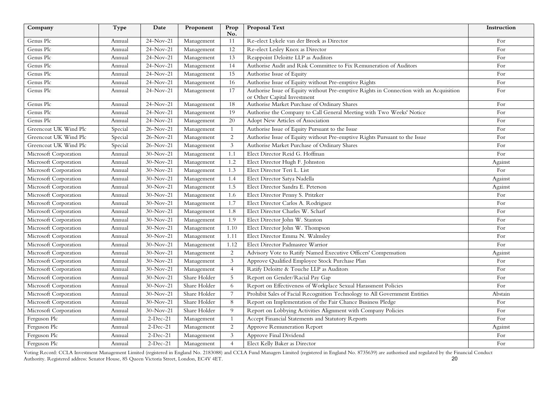| Company               | Type    | Date        | Proponent    | Prop<br>No.     | Proposal Text                                                                                                         | Instruction |
|-----------------------|---------|-------------|--------------|-----------------|-----------------------------------------------------------------------------------------------------------------------|-------------|
| Genus Plc             | Annual  | $24-Nov-21$ | Management   | 11              | Re-elect Lykele van der Broek as Director                                                                             | For         |
| Genus Plc             | Annual  | $24-Nov-21$ | Management   | 12              | Re-elect Lesley Knox as Director                                                                                      | For         |
| Genus Plc             | Annual  | $24-Nov-21$ | Management   | 13              | Reappoint Deloitte LLP as Auditors                                                                                    | For         |
| Genus Plc             | Annual  | 24-Nov-21   | Management   | 14              | Authorise Audit and Risk Committee to Fix Remuneration of Auditors                                                    | For         |
| Genus Plc             | Annual  | $24-Nov-21$ | Management   | 15              | Authorise Issue of Equity                                                                                             | For         |
| Genus Plc             | Annual  | $24-Nov-21$ | Management   | 16              | Authorise Issue of Equity without Pre-emptive Rights                                                                  | For         |
| Genus Plc             | Annual  | $24-Nov-21$ | Management   | 17              | Authorise Issue of Equity without Pre-emptive Rights in Connection with an Acquisition<br>or Other Capital Investment | For         |
| Genus Plc             | Annual  | 24-Nov-21   | Management   | 18              | Authorise Market Purchase of Ordinary Shares                                                                          | For         |
| Genus Plc             | Annual  | 24-Nov-21   | Management   | 19              | Authorise the Company to Call General Meeting with Two Weeks' Notice                                                  | For         |
| Genus Plc             | Annual  | 24-Nov-21   | Management   | 20              | Adopt New Articles of Association                                                                                     | For         |
| Greencoat UK Wind Plc | Special | 26-Nov-21   | Management   | $\overline{1}$  | Authorise Issue of Equity Pursuant to the Issue                                                                       | For         |
| Greencoat UK Wind Plc | Special | 26-Nov-21   | Management   | $\overline{2}$  | Authorise Issue of Equity without Pre-emptive Rights Pursuant to the Issue                                            | For         |
| Greencoat UK Wind Plc | Special | 26-Nov-21   | Management   | $\mathfrak{Z}$  | Authorise Market Purchase of Ordinary Shares                                                                          | For         |
| Microsoft Corporation | Annual  | $30-Nov-21$ | Management   | 1.1             | Elect Director Reid G. Hoffman                                                                                        | For         |
| Microsoft Corporation | Annual  | $30-Nov-21$ | Management   | 1.2             | Elect Director Hugh F. Johnston                                                                                       | Against     |
| Microsoft Corporation | Annual  | $30-Nov-21$ | Management   | 1.3             | Elect Director Teri L. List                                                                                           | For         |
| Microsoft Corporation | Annual  | $30-Nov-21$ | Management   | 1.4             | Elect Director Satya Nadella                                                                                          | Against     |
| Microsoft Corporation | Annual  | $30-Nov-21$ | Management   | 1.5             | Elect Director Sandra E. Peterson                                                                                     | Against     |
| Microsoft Corporation | Annual  | $30-Nov-21$ | Management   | 1.6             | Elect Director Penny S. Pritzker                                                                                      | For         |
| Microsoft Corporation | Annual  | $30-Nov-21$ | Management   | 1.7             | Elect Director Carlos A. Rodriguez                                                                                    | For         |
| Microsoft Corporation | Annual  | $30-Nov-21$ | Management   | 1.8             | Elect Director Charles W. Scharf                                                                                      | For         |
| Microsoft Corporation | Annual  | $30-Nov-21$ | Management   | 1.9             | Elect Director John W. Stanton                                                                                        | For         |
| Microsoft Corporation | Annual  | $30-Nov-21$ | Management   | 1.10            | Elect Director John W. Thompson                                                                                       | For         |
| Microsoft Corporation | Annual  | $30-Nov-21$ | Management   | 1.11            | Elect Director Emma N. Walmsley                                                                                       | For         |
| Microsoft Corporation | Annual  | $30-Nov-21$ | Management   | 1.12            | Elect Director Padmasree Warrior                                                                                      | For         |
| Microsoft Corporation | Annual  | $30-Nov-21$ | Management   | $\overline{c}$  | Advisory Vote to Ratify Named Executive Officers' Compensation                                                        | Against     |
| Microsoft Corporation | Annual  | $30-Nov-21$ | Management   | $\mathbf{3}$    | Approve Qualified Employee Stock Purchase Plan                                                                        | For         |
| Microsoft Corporation | Annual  | $30-Nov-21$ | Management   | $\overline{4}$  | Ratify Deloitte & Touche LLP as Auditors                                                                              | For         |
| Microsoft Corporation | Annual  | $30-Nov-21$ | Share Holder | 5               | Report on Gender/Racial Pay Gap                                                                                       | For         |
| Microsoft Corporation | Annual  | $30-Nov-21$ | Share Holder | 6               | Report on Effectiveness of Workplace Sexual Harassment Policies                                                       | For         |
| Microsoft Corporation | Annual  | $30-Nov-21$ | Share Holder | $7\phantom{.0}$ | Prohibit Sales of Facial Recognition Technology to All Government Entities                                            | Abstain     |
| Microsoft Corporation | Annual  | $30-Nov-21$ | Share Holder | $\,8\,$         | Report on Implementation of the Fair Chance Business Pledge                                                           | For         |
| Microsoft Corporation | Annual  | $30-Nov-21$ | Share Holder | 9               | Report on Lobbying Activities Alignment with Company Policies                                                         | For         |
| Ferguson Plc          | Annual  | $2-Dec-21$  | Management   | $\overline{1}$  | Accept Financial Statements and Statutory Reports                                                                     | For         |
| Ferguson Plc          | Annual  | $2-Dec-21$  | Management   | 2               | Approve Remuneration Report                                                                                           | Against     |
| Ferguson Plc          | Annual  | $2-Dec-21$  | Management   | 3               | Approve Final Dividend                                                                                                | For         |
| Ferguson Plc          | Annual  | $2-Dec-21$  | Management   | $\overline{4}$  | Elect Kelly Baker as Director                                                                                         | For         |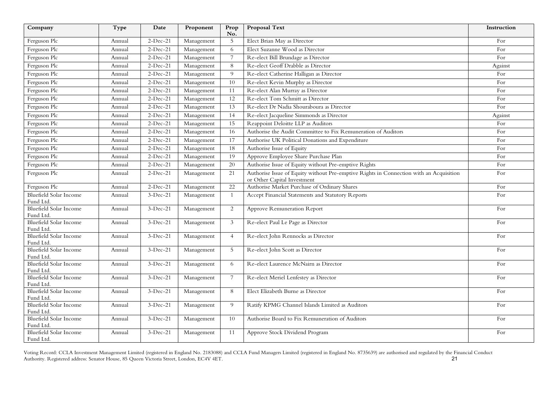| Company                                    | Type   | Date       | Proponent  | Prop<br>No.     | <b>Proposal Text</b>                                                                                                  | Instruction |
|--------------------------------------------|--------|------------|------------|-----------------|-----------------------------------------------------------------------------------------------------------------------|-------------|
| Ferguson Plc                               | Annual | $2-Dec-21$ | Management | $\mathbf 5$     | Elect Brian May as Director                                                                                           | For         |
| Ferguson Plc                               | Annual | $2-Dec-21$ | Management | 6               | Elect Suzanne Wood as Director                                                                                        | For         |
| Ferguson Plc                               | Annual | $2-Dec-21$ | Management | $7\overline{ }$ | Re-elect Bill Brundage as Director                                                                                    | For         |
| Ferguson Plc                               | Annual | $2-Dec-21$ | Management | $8\,$           | Re-elect Geoff Drabble as Director                                                                                    | Against     |
| Ferguson Plc                               | Annual | $2-Dec-21$ | Management | 9               | Re-elect Catherine Halligan as Director                                                                               | For         |
| Ferguson Plc                               | Annual | $2-Dec-21$ | Management | $\overline{10}$ | Re-elect Kevin Murphy as Director                                                                                     | For         |
| Ferguson Plc                               | Annual | $2-Dec-21$ | Management | 11              | Re-elect Alan Murray as Director                                                                                      | For         |
| Ferguson Plc                               | Annual | $2-Dec-21$ | Management | 12              | Re-elect Tom Schmitt as Director                                                                                      | For         |
| Ferguson Plc                               | Annual | $2-Dec-21$ | Management | 13              | Re-elect Dr Nadia Shouraboura as Director                                                                             | For         |
| Ferguson Plc                               | Annual | $2-Dec-21$ | Management | 14              | Re-elect Jacqueline Simmonds as Director                                                                              | Against     |
| Ferguson Plc                               | Annual | $2-Dec-21$ | Management | 15              | Reappoint Deloitte LLP as Auditors                                                                                    | For         |
| Ferguson Plc                               | Annual | $2-Dec-21$ | Management | 16              | Authorise the Audit Committee to Fix Remuneration of Auditors                                                         | For         |
| Ferguson Plc                               | Annual | $2-Dec-21$ | Management | $\overline{17}$ | Authorise UK Political Donations and Expenditure                                                                      | For         |
| Ferguson Plc                               | Annual | $2-Dec-21$ | Management | 18              | Authorise Issue of Equity                                                                                             | For         |
| Ferguson Plc                               | Annual | $2-Dec-21$ | Management | 19              | Approve Employee Share Purchase Plan                                                                                  | For         |
| Ferguson Plc                               | Annual | $2-Dec-21$ | Management | 20              | Authorise Issue of Equity without Pre-emptive Rights                                                                  | For         |
| Ferguson Plc                               | Annual | $2-Dec-21$ | Management | 21              | Authorise Issue of Equity without Pre-emptive Rights in Connection with an Acquisition<br>or Other Capital Investment | For         |
| Ferguson Plc                               | Annual | $2-Dec-21$ | Management | $\overline{22}$ | Authorise Market Purchase of Ordinary Shares                                                                          | For         |
| <b>Bluefield Solar Income</b><br>Fund Ltd. | Annual | $3-Dec-21$ | Management | 1               | Accept Financial Statements and Statutory Reports                                                                     | For         |
| <b>Bluefield Solar Income</b><br>Fund Ltd. | Annual | $3-Dec-21$ | Management | $\sqrt{2}$      | Approve Remuneration Report                                                                                           | For         |
| <b>Bluefield Solar Income</b><br>Fund Ltd. | Annual | $3-Dec-21$ | Management | 3               | Re-elect Paul Le Page as Director                                                                                     | For         |
| <b>Bluefield Solar Income</b><br>Fund Ltd. | Annual | $3-Dec-21$ | Management | $\overline{4}$  | Re-elect John Rennocks as Director                                                                                    | For         |
| Bluefield Solar Income<br>Fund Ltd.        | Annual | $3-Dec-21$ | Management | 5               | Re-elect John Scott as Director                                                                                       | For         |
| <b>Bluefield Solar Income</b><br>Fund Ltd. | Annual | $3-Dec-21$ | Management | 6               | Re-elect Laurence McNairn as Director                                                                                 | For         |
| <b>Bluefield Solar Income</b><br>Fund Ltd. | Annual | $3-Dec-21$ | Management | $\overline{7}$  | Re-elect Meriel Lenfestey as Director                                                                                 | For         |
| <b>Bluefield Solar Income</b><br>Fund Ltd. | Annual | $3-Dec-21$ | Management | 8               | Elect Elizabeth Burne as Director                                                                                     | For         |
| Bluefield Solar Income<br>Fund Ltd.        | Annual | $3-Dec-21$ | Management | 9               | Ratify KPMG Channel Islands Limited as Auditors                                                                       | For         |
| Bluefield Solar Income<br>Fund Ltd.        | Annual | $3-Dec-21$ | Management | 10              | Authorise Board to Fix Remuneration of Auditors                                                                       | For         |
| Bluefield Solar Income<br>Fund Ltd.        | Annual | $3-Dec-21$ | Management | 11              | Approve Stock Dividend Program                                                                                        | For         |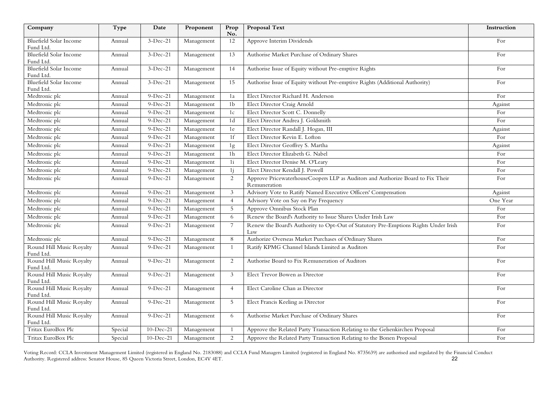| Company                                    | Type    | Date        | Proponent  | Prop<br>No.    | <b>Proposal Text</b>                                                                            | Instruction |
|--------------------------------------------|---------|-------------|------------|----------------|-------------------------------------------------------------------------------------------------|-------------|
| <b>Bluefield Solar Income</b><br>Fund Ltd. | Annual  | $3-Dec-21$  | Management | 12             | Approve Interim Dividends                                                                       | For         |
| Bluefield Solar Income<br>Fund Ltd.        | Annual  | $3-Dec-21$  | Management | 13             | Authorise Market Purchase of Ordinary Shares                                                    | For         |
| Bluefield Solar Income<br>Fund Ltd.        | Annual  | $3-Dec-21$  | Management | 14             | Authorise Issue of Equity without Pre-emptive Rights                                            | For         |
| <b>Bluefield Solar Income</b><br>Fund Ltd. | Annual  | $3-Dec-21$  | Management | 15             | Authorise Issue of Equity without Pre-emptive Rights (Additional Authority)                     | For         |
| Medtronic plc                              | Annual  | $9-Dec-21$  | Management | 1a             | Elect Director Richard H. Anderson                                                              | For         |
| Medtronic plc                              | Annual  | $9-Dec-21$  | Management | 1 <sub>b</sub> | Elect Director Craig Arnold                                                                     | Against     |
| Medtronic plc                              | Annual  | $9-Dec-21$  | Management | 1c             | Elect Director Scott C. Donnelly                                                                | For         |
| Medtronic plc                              | Annual  | $9-Dec-21$  | Management | 1 <sub>d</sub> | Elect Director Andrea J. Goldsmith                                                              | For         |
| Medtronic plc                              | Annual  | $9-Dec-21$  | Management | $1\mathrm{e}$  | Elect Director Randall J. Hogan, III                                                            | Against     |
| Medtronic plc                              | Annual  | $9-Dec-21$  | Management | 1f             | Elect Director Kevin E. Lofton                                                                  | For         |
| Medtronic plc                              | Annual  | $9-Dec-21$  | Management | 1g             | Elect Director Geoffrey S. Martha                                                               | Against     |
| Medtronic plc                              | Annual  | $9-Dec-21$  | Management | 1 <sub>h</sub> | Elect Director Elizabeth G. Nabel                                                               | For         |
| Medtronic plc                              | Annual  | $9-Dec-21$  | Management | 1i             | Elect Director Denise M. O'Leary                                                                | For         |
| Medtronic plc                              | Annual  | $9-Dec-21$  | Management | 1 <sub>j</sub> | Elect Director Kendall J. Powell                                                                | For         |
| Medtronic plc                              | Annual  | $9-Dec-21$  | Management | 2              | Approve PricewaterhouseCoopers LLP as Auditors and Authorize Board to Fix Their<br>Remuneration | For         |
| Medtronic plc                              | Annual  | $9-Dec-21$  | Management | 3              | Advisory Vote to Ratify Named Executive Officers' Compensation                                  | Against     |
| Medtronic plc                              | Annual  | $9-Dec-21$  | Management | $\overline{4}$ | Advisory Vote on Say on Pay Frequency                                                           | One Year    |
| Medtronic plc                              | Annual  | $9-Dec-21$  | Management | $\overline{5}$ | Approve Omnibus Stock Plan                                                                      | For         |
| Medtronic plc                              | Annual  | $9-Dec-21$  | Management | 6              | Renew the Board's Authority to Issue Shares Under Irish Law                                     | For         |
| Medtronic plc                              | Annual  | $9-Dec-21$  | Management | $\overline{7}$ | Renew the Board's Authority to Opt-Out of Statutory Pre-Emptions Rights Under Irish<br>Law      | For         |
| Medtronic plc                              | Annual  | $9-Dec-21$  | Management | 8              | Authorize Overseas Market Purchases of Ordinary Shares                                          | For         |
| Round Hill Music Royalty<br>Fund Ltd.      | Annual  | 9-Dec-21    | Management | -1             | Ratify KPMG Channel Islands Limited as Auditors                                                 | For         |
| Round Hill Music Royalty<br>Fund Ltd.      | Annual  | $9-Dec-21$  | Management | $\overline{2}$ | Authorise Board to Fix Remuneration of Auditors                                                 | For         |
| Round Hill Music Royalty<br>Fund Ltd.      | Annual  | $9-Dec-21$  | Management | 3              | Elect Trevor Bowen as Director                                                                  | For         |
| Round Hill Music Royalty<br>Fund Ltd.      | Annual  | $9-Dec-21$  | Management | $\overline{4}$ | Elect Caroline Chan as Director                                                                 | For         |
| Round Hill Music Royalty<br>Fund Ltd.      | Annual  | $9-Dec-21$  | Management | $\sqrt{5}$     | Elect Francis Keeling as Director                                                               | For         |
| Round Hill Music Royalty<br>Fund Ltd.      | Annual  | $9-Dec-21$  | Management | 6              | Authorise Market Purchase of Ordinary Shares                                                    | For         |
| Tritax EuroBox Plc                         | Special | $10-Dec-21$ | Management | $\mathbf{1}$   | Approve the Related Party Transaction Relating to the Gelsenkirchen Proposal                    | For         |
| Tritax EuroBox Plc                         | Special | $10-Dec-21$ | Management | $\overline{2}$ | Approve the Related Party Transaction Relating to the Bonen Proposal                            | For         |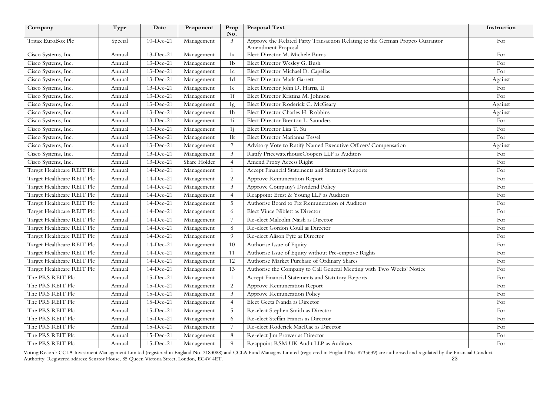| Company                    | Type    | Date        | Proponent    | Prop<br>No.     | <b>Proposal Text</b>                                                          | Instruction |
|----------------------------|---------|-------------|--------------|-----------------|-------------------------------------------------------------------------------|-------------|
| Tritax EuroBox Plc         | Special | $10-Dec-21$ | Management   | 3               | Approve the Related Party Transaction Relating to the German Propco Guarantor | For         |
|                            |         |             |              |                 | <b>Amendment Proposal</b>                                                     |             |
| Cisco Systems, Inc.        | Annual  | 13-Dec-21   | Management   | 1a              | Elect Director M. Michele Burns                                               | For         |
| Cisco Systems, Inc.        | Annual  | 13-Dec-21   | Management   | 1 <sub>b</sub>  | Elect Director Wesley G. Bush                                                 | For         |
| Cisco Systems, Inc.        | Annual  | 13-Dec-21   | Management   | 1c              | Elect Director Michael D. Capellas                                            | For         |
| Cisco Systems, Inc.        | Annual  | 13-Dec-21   | Management   | 1d              | Elect Director Mark Garrett                                                   | Against     |
| Cisco Systems, Inc.        | Annual  | 13-Dec-21   | Management   | 1e              | Elect Director John D. Harris, II                                             | For         |
| Cisco Systems, Inc.        | Annual  | 13-Dec-21   | Management   | 1f              | Elect Director Kristina M. Johnson                                            | For         |
| Cisco Systems, Inc.        | Annual  | 13-Dec-21   | Management   | 1g              | Elect Director Roderick C. McGeary                                            | Against     |
| Cisco Systems, Inc.        | Annual  | 13-Dec-21   | Management   | 1 <sub>h</sub>  | Elect Director Charles H. Robbins                                             | Against     |
| Cisco Systems, Inc.        | Annual  | 13-Dec-21   | Management   | 1i              | Elect Director Brenton L. Saunders                                            | For         |
| Cisco Systems, Inc.        | Annual  | $13-Dec-21$ | Management   | 1 <sub>j</sub>  | Elect Director Lisa T. Su                                                     | For         |
| Cisco Systems, Inc.        | Annual  | $13-Dec-21$ | Management   | 1k              | Elect Director Marianna Tessel                                                | For         |
| Cisco Systems, Inc.        | Annual  | $13-Dec-21$ | Management   | 2               | Advisory Vote to Ratify Named Executive Officers' Compensation                | Against     |
| Cisco Systems, Inc.        | Annual  | $13-Dec-21$ | Management   | 3               | Ratify PricewaterhouseCoopers LLP as Auditors                                 | For         |
| Cisco Systems, Inc.        | Annual  | $13-Dec-21$ | Share Holder | $\overline{4}$  | Amend Proxy Access Right                                                      | For         |
| Target Healthcare REIT Plc | Annual  | 14-Dec-21   | Management   | -1              | Accept Financial Statements and Statutory Reports                             | For         |
| Target Healthcare REIT Plc | Annual  | 14-Dec-21   | Management   | 2               | Approve Remuneration Report                                                   | For         |
| Target Healthcare REIT Plc | Annual  | 14-Dec-21   | Management   | 3               | Approve Company's Dividend Policy                                             | For         |
| Target Healthcare REIT Plc | Annual  | 14-Dec-21   | Management   | $\overline{4}$  | Reappoint Ernst & Young LLP as Auditors                                       | For         |
| Target Healthcare REIT Plc | Annual  | 14-Dec-21   | Management   | $\overline{5}$  | Authorise Board to Fix Remuneration of Auditors                               | For         |
| Target Healthcare REIT Plc | Annual  | 14-Dec-21   | Management   | 6               | Elect Vince Niblett as Director                                               | For         |
| Target Healthcare REIT Plc | Annual  | 14-Dec-21   | Management   | $\overline{7}$  | Re-elect Malcolm Naish as Director                                            | For         |
| Target Healthcare REIT Plc | Annual  | 14-Dec-21   | Management   | 8               | Re-elect Gordon Coull as Director                                             | For         |
| Target Healthcare REIT Plc | Annual  | 14-Dec-21   | Management   | 9               | Re-elect Alison Fyfe as Director                                              | For         |
| Target Healthcare REIT Plc | Annual  | $14-Dec-21$ | Management   | 10              | Authorise Issue of Equity                                                     | For         |
| Target Healthcare REIT Plc | Annual  | $14-Dec-21$ | Management   | 11              | Authorise Issue of Equity without Pre-emptive Rights                          | For         |
| Target Healthcare REIT Plc | Annual  | $14-Dec-21$ | Management   | 12              | Authorise Market Purchase of Ordinary Shares                                  | For         |
| Target Healthcare REIT Plc | Annual  | 14-Dec-21   | Management   | 13              | Authorise the Company to Call General Meeting with Two Weeks' Notice          | For         |
| The PRS REIT Plc           | Annual  | $15-Dec-21$ | Management   | $\overline{1}$  | Accept Financial Statements and Statutory Reports                             | For         |
| The PRS REIT Plc           | Annual  | 15-Dec-21   | Management   | 2               | Approve Remuneration Report                                                   | For         |
| The PRS REIT Plc           | Annual  | $15-Dec-21$ | Management   | $\mathfrak{Z}$  | Approve Remuneration Policy                                                   | For         |
| The PRS REIT Plc           | Annual  | $15-Dec-21$ | Management   | $\overline{4}$  | Elect Geeta Nanda as Director                                                 | For         |
| The PRS REIT Plc           | Annual  | $15-Dec-21$ | Management   | $\overline{5}$  | Re-elect Stephen Smith as Director                                            | For         |
| The PRS REIT Plc           | Annual  | 15-Dec-21   | Management   | 6               | Re-elect Steffan Francis as Director                                          | For         |
| The PRS REIT Plc           | Annual  | 15-Dec-21   | Management   | $7\overline{ }$ | Re-elect Roderick MacRae as Director                                          | For         |
| The PRS REIT Plc           | Annual  | 15-Dec-21   | Management   | $8\,$           | Re-elect Jim Prower as Director                                               | For         |
| The PRS REIT Plc           | Annual  | $15-Dec-21$ | Management   | 9               | Reappoint RSM UK Audit LLP as Auditors                                        | For         |